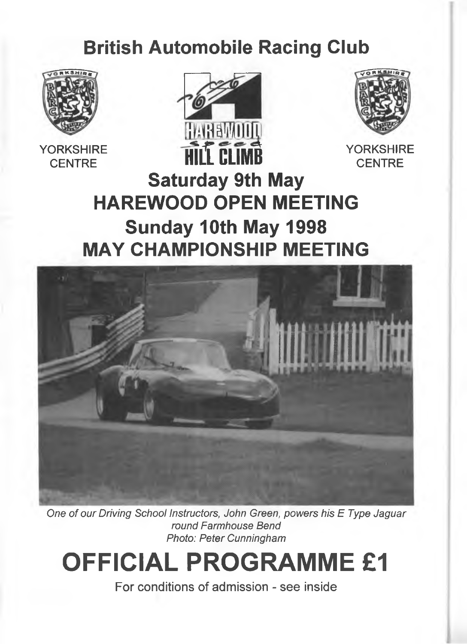# **British Automobile Racing Club**



**YORKSHIRE CENTRE**





**CENTRE**

# **Saturday 9th May HAREWOOD OPEN MEETING Sunday 10th May 1998 MAY CHAMPIONSHIP MEETING**



**One** *of our Driving School Instructors, John Green, powers his E Type Jaguar round Farmhouse Bend Photo: Peter Cunningham*

# **OFFICIAL PROGRAMME £1**

**For conditions of admission - see inside**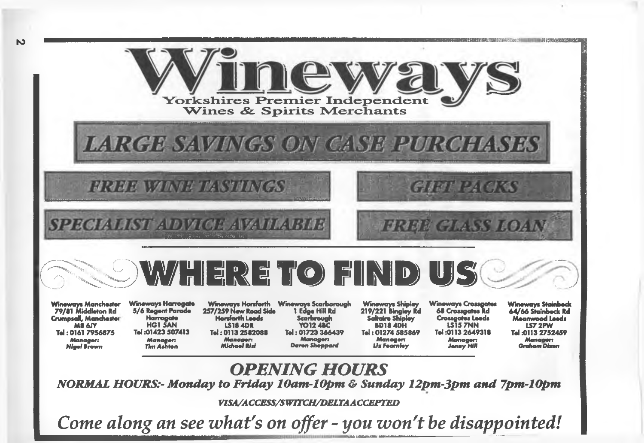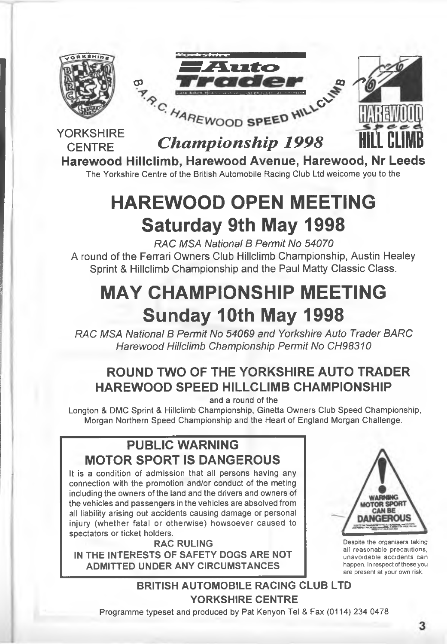

# **Harewood Hillclimb, Harewood Avenue, Harewood, Nr Leeds**

The Yorkshire Centre of the British Automobile Racing Club Ltd weicome you to the

# **HAREWOOD OPEN MEETING Saturday 9th May 1998**

*RAC MSA National B Permit No 54070* **A round of the Ferrari Owners Club Hillclimb Championship, Austin Healey Sprint & Hillclimb Championship and the Paul Matty Classic Class.**

# **MAY CHAMPIONSHIP MEETING Sunday 10th May 1998**

*RAC MSA National B Permit No 54069 and Yorkshire Auto Trader BARC Harewood Hillclimb Championship Permit No CH98310*

# **ROUND TWO OF THE YORKSHIRE AUTO TRADER HAREWOOD SPEED HILLCLIMB CHAMPIONSHIP**

and a round of the

Longton & DMC Sprint & Hillclimb Championship, Ginetta Owners Club Speed Championship, Morgan Northern Speed Championship and the Heart of England Morgan Challenge.

## **PUBLIC WARNING MOTOR SPORT IS DANGEROUS**

It is a condition of admission that all persons having any connection with the promotion and/or conduct of the meting including the owners of the land and the drivers and owners of the vehicles and passengers in the vehicles are absolved from all liability arising out accidents causing damage or personal injury (whether fatal or otherwise) howsoever caused to spectators or ticket holders.

**RAC RULING IN THE INTERESTS OF SAFETY DOGS ARE NOT ADMITTED UNDER ANY CIRCUMSTANCES**



**Despite the organisers taking all reasonable precautions, unavoidable accidents can happen. In respect of these you are present at your own risk.**

**BRITISH AUTOMOBILE RACING CLUB LTD YORKSHIRE CENTRE**

Programme typeset and produced by Pat Kenyon Tel & Fax (0114) 234 0478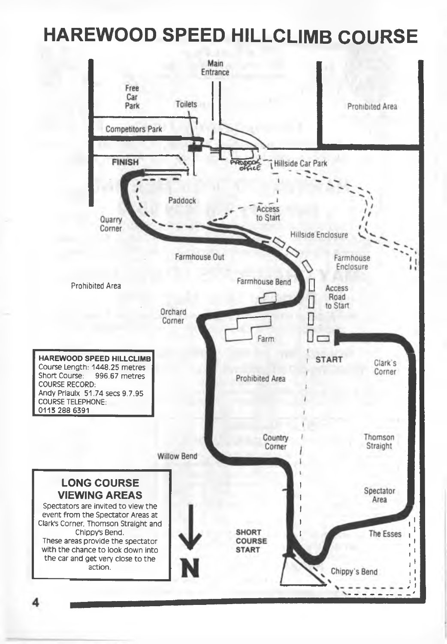# **HAREWOOD SPEED HILLCLIMB COURSE**

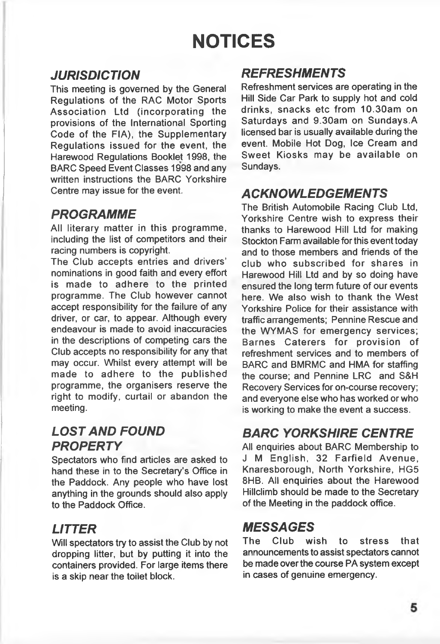# **NOTICES**

### *JURISDICTION*

**This meeting is governed by the General Regulations of the RAC Motor Sports Association Ltd (incorporating the provisions of the International Sporting Code of the FIA), the Supplementary Regulations issued for the event, the Harewood Regulations Booklet 1998, the BARC Speed Event Classes 1998 and any written instructions the BARC Yorkshire Centre may issue for the event.**

### *PROGRAMME*

**All literary matter in this programme, including the list of competitors and their racing numbers is copyright.**

**The Club accepts entries and drivers' nominations in good faith and every effort is made to adhere to the printed programme. The Club however cannot accept responsibility for the failure of any driver, or car, to appear. Although every endeavour is made to avoid inaccuracies in the descriptions of competing cars the Club accepts no responsibility for any that may occur. Whilst every attempt will be made to adhere to the published programme, the organisers reserve the right to modify, curtail or abandon the meeting.**

### *LOST AND FOUND PROPERTY*

**Spectators who find articles are asked to hand these in to the Secretary's Office in the Paddock. Any people who have lost anything in the grounds should also apply to the Paddock Office.**

### *LITTER*

**Will spectators try to assist the Club by not dropping litter, but by putting it into the containers provided. For large items there is a skip near the toilet block.**

### *REFRESHMENTS*

**Refreshment services are operating in the Hill Side Car Park to supply hot and cold drinks, snacks etc from 10.30am on Saturdays and 9.30am on Sundays.A licensed bar is usually available during the event. Mobile Hot Dog, Ice Cream and Sweet Kiosks may be available on Sundays.**

### *ACKNOWLEDGEMENTS*

**The British Automobile Racing Club Ltd, Yorkshire Centre wish to express their thanks to Harewood Hill Ltd for making Stockton Farm available for this event today and to those members and friends of the club who subscribed for shares in Harewood Hill Ltd and by so doing have ensured the long term future of our events** here. We also wish to thank the West **Yorkshire Police for their assistance with** traffic arrangements; Pennine Rescue and **the W YMAS for emergency services; Barnes C aterers for provision of refreshment services and to members of BARC and BMRMC and HMA for staffing the course; and Pennine LRC and S&H Recovery Services for on-course recovery; and everyone else who has worked or who is working to make the event a success.**

### *BARC YORKSHIRE CENTRE*

**All enquiries about BARC Membership to J M English, 32 Farfield A venue, Knaresborough, North Yorkshire, HG5 8HB. All enquiries about the Harewood Hillclimb should be made to the Secretary of the Meeting in the paddock office.**

### *MESSAGES*

**The Club wish to stress that announcements to assist spectators cannot be made over the course PA system except in cases of genuine emergency.**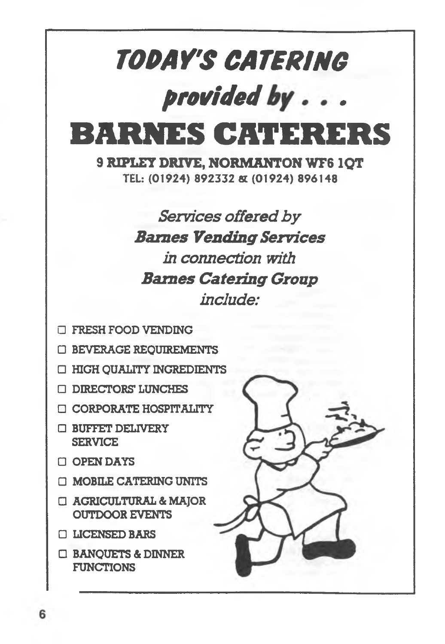

- □ OPEN DAYS
- □ MOBILE CATERING UNITS
- □ AGRICULTURAL & MAJOR OUTDOOR EVENTS
- □ LICENSED BARS
- □ BANQUETS & DINNER FUNCTIONS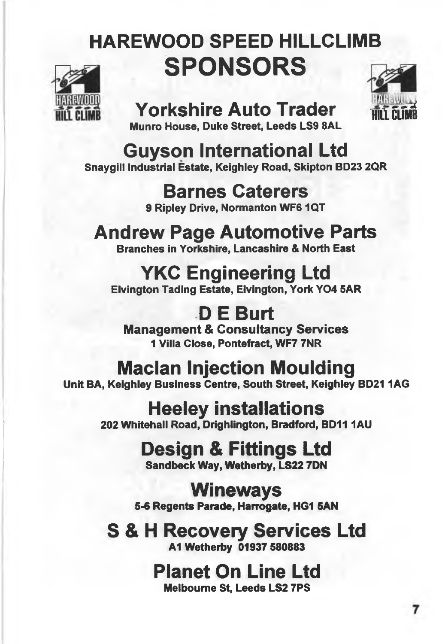# **HAREWOOD SPEED HILLCLIMB SPONSORS**



# **Yorkshire Auto Trader**



**Munro House, Duke Street, Leeds LS9 SAL**

**Guyson International Ltd Snaygill Industrial Estate, Keighley Road, Skipton BD23 2QR**

> **Barnes Caterers 9 Ripley Drive, Normanton WF6 1QT**

**Andrew Page Automotive Parts Branches in Yorkshire, Lancashire & North East**

# **YKC Engineering Ltd**

**Elvington Tading Estate, Elvington, York Y04 5AR**

**D E Burt Management & Consultancy Services 1 Villa Close, Pontefract, WF7 7NR**

# **Maclan Injection Moulding**

**Unit BA, Keighley Business Centre, South Street, Keighley BD211AG**

**Heeley installations**

**202 Whitehall Road, Drighlington, Bradford, BD11 1AU** 

# **Design & Fittings Ltd**

**Sandbeck Way, Wetherby, LS22 7DN**

**Wineways**

**5-6 Regents Parade, Harrogate, HG1 SAN**

# **S & H Recovery Services Ltd**

AlWethetby 01937 SS0S83

# **Planet On Line Ltd**

**Melbourne St, Leeds LS2 TPS**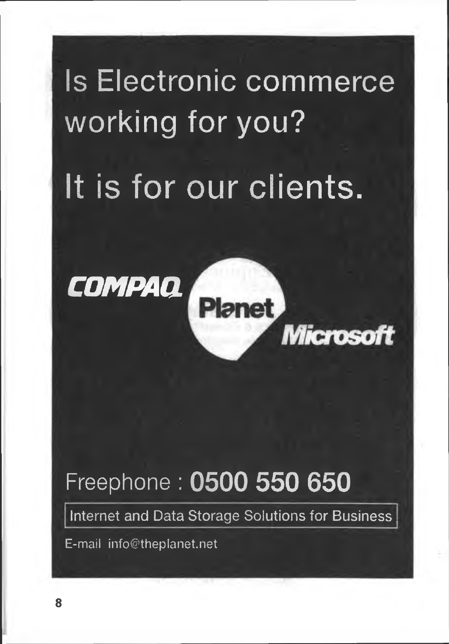# **Is Electronic commerce working for you?** It is for our clients.

**Planet** 

**Microsoft** 



# Freephone **: 0500 550 650**

**Internet and Data Storage Solutions for Business**

**E-mail [info@theplanet.net](mailto:info@theplanet.net)**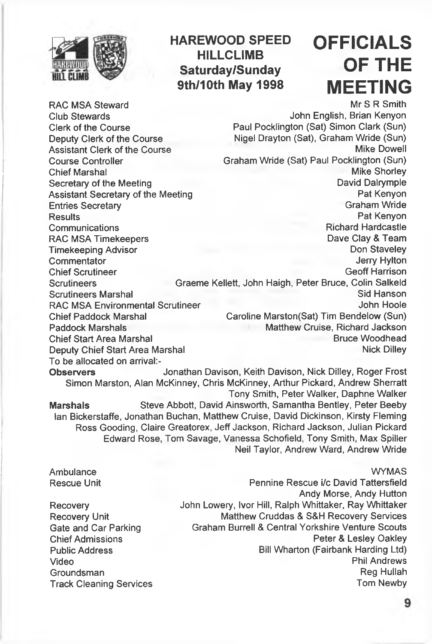

### **HAREWOOD SPEED HILLCLIMB Saturday/Sunday 9th/10th May 1998**

# **OFFICIALS OF THE MEETING**

**RAC MSA Steward Club Stewards Clerk of the Course Deputy Clerk of the Course Assistant Clerk of the Course Course Controller Chief Marshal Secretary of the Meeting Assistant Secretary of the Meeting Entries Secretary Results Communications RAC MSA Timekeepers Timekeeping Advisor Commentator Chief Scrutineer Scrutineers Scrutineers Marshal RAC MSA Environmental Scrutineer Chief Paddock Marshal Paddock Marshals Chief Start Area Marshal Mr 8 R Smith John English, Brian Kenyon Paul Pocklington (Sat) Simon Clark (Sun) Nigel Drayton (Sat), Graham Wride (Sun) Mike Dowell Graham Wride (Sat) Paul Pocklington (Sun) Mike Shorley David Dalrymple Pat Kenyon Graham Wride Pat Kenyon Richard Hardcastle Dave Clay & Team Don Staveley Jerry Hylton Geoff Harrison Graeme Kellett, John Haigh, Peter Bruce, Colin Salkeld Sid Hanson John Hoole Caroline Marston(Sat) Tim Bendelow (Sun) Matthew Cruise, Richard Jackson Bruce Woodhead Deputy Chief Start Area Marshal <b>Nick Dilley Nick Dilley To be allocated on arrival:- Observers Jonathan Davison, Keith Davison, Nick Dilley, Roger Frost Simon Marston, Alan McKinney, Chris McKinney, Arthur Pickard, Andrew Sherratt Tony Smith, Peter Walker, Daphne Walker Marshals Steve Abbott, David Ainsworth, Samantha Bentley, Peter Beeby Ian Bickerstaffe, Jonathan Buchan, Matthew Cruise, David Dickinson, Kirsty Fleming Ross Gooding, Claire Greatorex, Jeff Jackson, Richard Jackson, Julian Pickard Edward Rose, Tom Savage, Vanessa Schofield, Tony Smith, Max Spiller Neil Taylor, Andrew Ward, Andrew Wride**

#### **WYMAS**

**Ambulance Rescue Unit**

**Recovery Recovery Unit Gate and Car Parking Chief Admissions Public Address Video Groundsman Track Cleaning Services**

**Pennine Rescue i/c David Tattersfield Andy Morse, Andy Hutton John Lowery, Ivor Hill, Ralph Whittaker, Ray Whittaker Matthew Cruddas & S&H Recovery Services Graham Burrell & Central Yorkshire Venture Scouts Peter & Lesley Oakley Bill Wharton (Fairbank Harding Ltd) Phil Andrews Reg Hullah Tom Newby**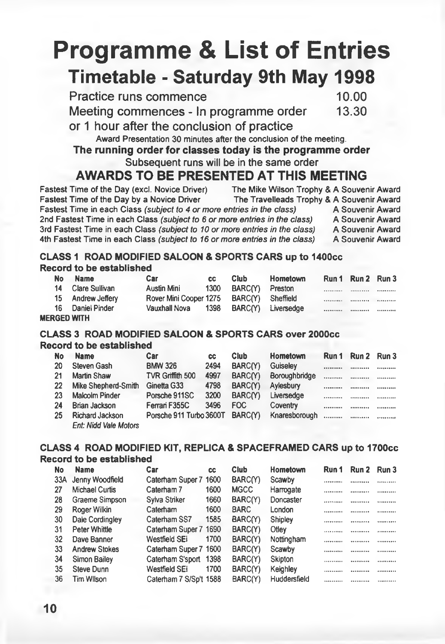# **Programme & List of Entries Timetable - Saturday 9th May 1998**

**Practice runs commence** 10.00<br> **Meeting commences - In programme order** 13.30 **Meeting commences - In programme order** 

or 1 hour after the conclusion of practice

**Award Presentation 30 minutes after the conclusion of the meeting.**

### The running order for classes today is the programme order

**Subsequent runs will be in the same order**

### **AWARDS TO BE PRESENTED AT THIS MEETING**

**Fastest Time of the Day (excl. Novice Driver) The Mike Wilson Trophy & A Souvenir Award Faxelleads Trophy & A Souvenir Award Fravelleads Trophy & A Souvenir Award Fastest Time in each Class** *(subject to 4 or more entries in the class)* **A Souvenir Award 2nd Fastest Time in each Class** *(subject to* **6** *or more entries in the class)* **A Souvenir Award 3rd Fastest Time in each Class** *(subject to 10 or more entries in the class)* **A Souvenir Award 4th Fastest Time in each Class** *(subject to 16 or more entries in the class)* 

#### **CLASS 1 ROAD MODIFIED SALOON & SPORTS CARS up to 1400cc Record to be established**

| No. | <b>Name</b>       | <b>Car</b>                               | CC. | <b>Club</b>          | Hometown                | Run 1 Run 2 Run 3 |  |
|-----|-------------------|------------------------------------------|-----|----------------------|-------------------------|-------------------|--|
|     | 14 Clare Sullivan | Austin Mini                              |     | 1300 BARC(Y) Preston |                         |                   |  |
|     | 15 Andrew Jeffery | Rover Mini Cooper 1275 BARC(Y) Sheffield |     |                      |                         | <br>              |  |
|     | 16 Daniel Pinder  | Vauxhall Nova                            |     |                      | 1398 BARC(Y) Liversedge | <br>              |  |

#### **MERGED WITH**

#### **CLASS 3 ROAD MODIFIED SALOON & SPORTS CARS over 2000cc Record to be established**

| No | <b>Name</b>                  | Car                     | СC   | <b>Club</b> | Hometown      | Run 1      | Run 2 | Run 3 |
|----|------------------------------|-------------------------|------|-------------|---------------|------------|-------|-------|
| 20 | Steven Gash                  | <b>BMW 326</b>          | 2494 | BARC(Y)     | Guiseley      |            |       |       |
| 21 | Martin Shaw                  | TVR Griffith 500        | 4997 | BARC(Y)     | Boroughbridge |            |       |       |
| 22 | Mike Shepherd-Smith          | Ginetta G33             | 4798 | BARC(Y)     | Aylesbury     |            |       |       |
| 23 | Malcolm Pinder               | Porsche 911SC           | 3200 | BARC(Y)     | Liversedge    | ********** |       |       |
| 24 | Brian Jackson                | Ferrari F355C           | 3496 | FOC         | Coventry      |            |       |       |
| 25 | Richard Jackson              | Porsche 911 Turbo 3600T |      | BARC(Y)     | Knaresborough |            |       |       |
|    | <b>Ent: Nidd Vale Motors</b> |                         |      |             |               |            |       |       |

### **CLASS 4 ROAD MODIFIED KIT, REPLICA & SPACEFRAMED CARS up to 1700cc**

#### **Record to be established**

| No  | <b>Name</b>           | Car                    | <b>CC</b> | Club        | Hometown     | Run 1              | Run 2     | Run 3   |
|-----|-----------------------|------------------------|-----------|-------------|--------------|--------------------|-----------|---------|
| 33A | Jenny Woodfield       | Caterham Super 7 1600  |           | BARC(Y)     | Scawby       |                    |           | .       |
| 27  | <b>Michael Curtis</b> | Caterham 7             | 1600      | <b>MGCC</b> | Harrogate    |                    |           |         |
| 28  | Graeme Simpson        | Sylva Striker          | 1660      | BARC(Y)     | Doncaster    | ,,,,,,,,, <b>,</b> | ,,,,,,,,, | <b></b> |
| 29  | Roger Wilkin          | Caterham               | 1600      | <b>BARC</b> | London       |                    |           |         |
| 30  | Dale Cordingley       | Caterham SS7           | 1585      | BARC(Y)     | Shipley      |                    |           |         |
| 31  | Peter Whittle         | Caterham Super 7 1690  |           | BARC(Y)     | Otley        |                    |           |         |
| 32  | Dave Banner           | Westfield SEi          | 1700      | BARC(Y)     | Nottingham   |                    | <b></b>   |         |
| 33  | <b>Andrew Stokes</b>  | Caterham Super 7 1600  |           | BARC(Y)     | Scawby       |                    |           |         |
| 34  | Simon Bailey          | Caterham S'sport 1398  |           | BARC(Y)     | Skipton      |                    |           |         |
| 35  | Steve Dunn            | Westfield SEi          | 1700      | BARC(Y)     | Keighley     |                    |           |         |
| 36  | Tim Wllson            | Caterham 7 S/Sp't 1588 |           | BARC(Y)     | Huddersfield | <b></b>            |           | <b></b> |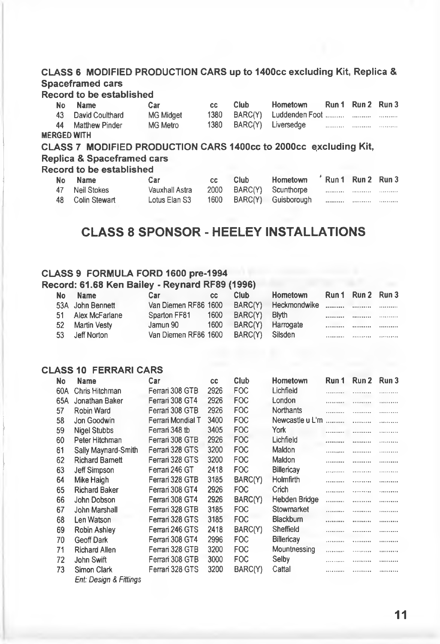#### **CLASS 6 MODIFIED PRODUCTION CARS up to 1400cc excluding Kit, Replica & Spaceframed cars**

#### **Record to be established**

|    | No Name           | Car              | CC.  | Club. | Hometown                | Run 1 Run 2 Run 3 |  |
|----|-------------------|------------------|------|-------|-------------------------|-------------------|--|
| 43 | David Coulthard   | <b>MG Midget</b> | 1380 |       |                         |                   |  |
|    | 44 Matthew Pinder | MG Metro         |      |       | 1380 BARC(Y) Liversedge |                   |  |
|    | FRGED WITH.       |                  |      |       |                         |                   |  |

#### **MERGED WITH**

**CLASS 7 MODIFIED PRODUCTION CARS 1400CC to 2000CC e.xcluding Kit, Replica & Spaceframed cars**

#### **Record to be established**

| No Name          | Car            | CC. | Club | Hometown 'Run 1 Run 2 Run 3 |  |  |
|------------------|----------------|-----|------|-----------------------------|--|--|
| 47 Neil Stokes   | Vauxhall Astra |     |      | 2000 BARC(Y) Scunthorpe     |  |  |
| 48 Colin Stewart | Lotus Elan S3  |     |      | 1600 BARC(Y) Guisborough    |  |  |

### **CLASS 8 SPONSOR - HEELEY INSTALLATIONS**

#### **CLASS 9 FORMULA FORD 1600 pre-1994**

#### **Record: 61.68 Ken Bailey - Reynard RF89 (1996)**

| <b>No</b> | <b>Name</b>       | Car                                       | CC.  | Club.             | Hometown | Run 1 Run 2 Run 3 |  |
|-----------|-------------------|-------------------------------------------|------|-------------------|----------|-------------------|--|
|           | 53A John Bennett  | Van Diemen RF86 1600 BARC(Y) Heckmondwike |      |                   |          |                   |  |
|           | 51 Alex McFarlane | Sparton FF81                              | 1600 | BARC(Y)           | Blyth    | <br>              |  |
| 52        | Martin Vestv      | Jamun 90                                  | 1600 | BARC(Y) Harrogate |          | <br>              |  |
| 53        | Jeff Norton       | Van Diemen RF86 1600                      |      | BARC(Y) Silsden   |          | <br>              |  |

#### **CLASS 10 FERRARI CARS**

| No  | <b>Name</b>            | Car               | CC   | Club       | Hometown        | Run 1 | Run 2 | Run 3 |
|-----|------------------------|-------------------|------|------------|-----------------|-------|-------|-------|
| 60A | Chris Hitchman         | Ferrari 308 GTB   | 2926 | <b>FOC</b> | Lichfield       |       |       |       |
| 65A | Jonathan Baker         | Ferrari 308 GT4   | 2926 | <b>FOC</b> | London          |       |       | .     |
| 57  | Robin Ward             | Ferrari 308 GTB   | 2926 | <b>FOC</b> | Northants       | .     |       |       |
| 58  | Jon Goodwin            | Ferrari Mondial T | 3400 | <b>FOC</b> | Newcastle u L'm | .     | .     | .     |
| 59  | <b>Nigel Stubbs</b>    | Ferrari 348 tb    | 3405 | <b>FOC</b> | York            |       |       |       |
| 60  | Peter Hitchman         | Ferrari 308 GTB   | 2926 | <b>FOC</b> | Lichfield       |       |       | .     |
| 61  | Sally Maynard-Smith    | Ferrari 328 GTS   | 3200 | <b>FOC</b> | Maldon          | .     |       | .     |
| 62  | <b>Richard Bamett</b>  | Ferrari 328 GTS   | 3200 | <b>FOC</b> | Maldon          |       |       |       |
| 63  | Jeff Simpson           | Ferrari 246 GT    | 2418 | <b>FOC</b> | Billericay      |       |       | .     |
| 64  | Mike Haigh             | Ferrari 328 GTB   | 3185 | BARC(Y)    | Holmfirth       |       |       |       |
| 65  | <b>Richard Baker</b>   | Ferrari 308 GT4   | 2926 | <b>FOC</b> | Crich           | .     | .     | .     |
| 66  | John Dobson            | Ferrari 308 GT4   | 2926 | BARC(Y)    | Hebden Bridge   | .     | .     | .     |
| 67  | John Marshall          | Ferrari 328 GTB   | 3185 | <b>FOC</b> | Stowmarket      |       |       | .     |
| 68  | Len Watson             | Ferrari 328 GTS   | 3185 | <b>FOC</b> | Blackburn       |       |       |       |
| 69  | Robin Ashley           | Ferrari 246 GTS   | 2418 | BARC(Y)    | Sheffield       |       |       |       |
| 70  | Geoff Dark             | Ferrari 308 GT4   | 2996 | <b>FOC</b> | Billericay      | .     |       | .     |
| 71  | <b>Richard Allen</b>   | Ferrari 328 GTB   | 3200 | <b>FOC</b> | Mountnessing    | .     | .     | .     |
| 72  | John Swift             | Ferrari 308 GTB   | 3000 | <b>FOC</b> | Selby           |       | .     | .     |
| 73  | Simon Clark            | Ferrari 328 GTS   | 3200 | BARC(Y)    | Cattal          |       | .     |       |
|     | Ent: Design & Fittings |                   |      |            |                 |       |       |       |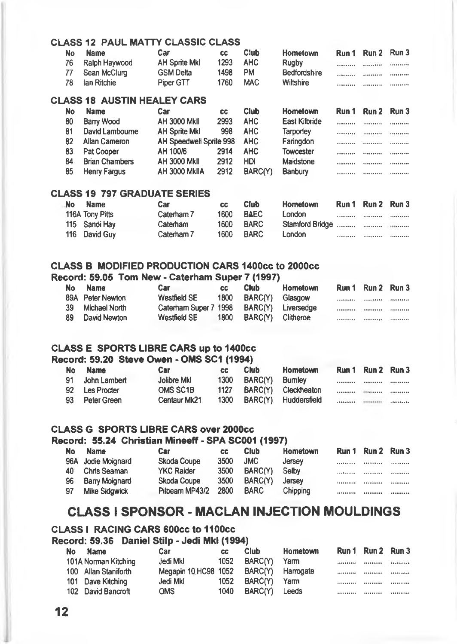#### **CLASS 12 PAUL MATTY CLASSIC CLASS**

| No  | <b>Name</b>      | Car              | <b>CC</b> | Club       | Hometown     | Run 1 Run 2 Run 3 |                   |
|-----|------------------|------------------|-----------|------------|--------------|-------------------|-------------------|
|     | 76 Ralph Haywood | AH Sprite MkI    | 1293      | AHC.       | Ruaby        | <br>              | <b>**********</b> |
|     | 77 Sean McClurg  | <b>GSM Delta</b> | 1498      | <b>PM</b>  | Bedfordshire | <br>              |                   |
| -78 | lan Ritchie      | Piper GTT        | 1760      | <b>MAC</b> | Wiltshire    | <br>              |                   |

#### **CLASS 18 AUSTIN HEALEY CARS**

| No | <b>Name</b>           | Car                     | СC   | Club    | Hometown         | Run 1             | Run 2             | Run 3             |
|----|-----------------------|-------------------------|------|---------|------------------|-------------------|-------------------|-------------------|
| 80 | Barry Wood            | AH 3000 MkII            | 2993 | AHC.    | East Kilbride    |                   |                   | <b>**********</b> |
| 81 | David Lambourne       | <b>AH Sprite MkI</b>    | 998  | AHC.    | Tarporlev        |                   |                   |                   |
| 82 | <b>Allan Cameron</b>  | AH Speedwell Sprite 998 |      | AHC.    | Faringdon        | <b>**********</b> |                   |                   |
| 83 | Pat Cooper            | AH 100/6                | 2914 | AHC.    | <b>Towcester</b> |                   | <b>**********</b> |                   |
| 84 | <b>Brian Chambers</b> | <b>AH 3000 MkII</b>     | 2912 | HDI     | Maidstone        | <b>**********</b> |                   |                   |
| 85 | Henry Fargus          | AH 3000 MkIIA           | 2912 | BARC(Y) | Banbury          |                   |                   |                   |

#### **CLASS 19 797 GRADUATE SERIES**

| No | <b>Name</b>     | Car        | <b>CC</b> | Club        | Hometown | Run 1 Run 2 Run 3 |                   |
|----|-----------------|------------|-----------|-------------|----------|-------------------|-------------------|
|    | 116A Tony Pitts | Caterham 7 | 1600      | <b>BAEC</b> | London   | <br>              |                   |
|    | 115 Sandi Hay   | Caterham   | 1600      | <b>BARC</b> |          |                   |                   |
|    | 116 David Guy   | Caterham 7 | 1600      | <b>BARC</b> | London   | <br>              | <b>**********</b> |

#### **CLASS B MODIFIED PRODUCTION CARS 1400cc to 2000cc**

#### **Record: 59.05 Tom New - Caterham Super 7 (1997)**

| No  | <b>Name</b>      | Car                   | CC.  | <b>Club</b>       | Hometown           | Run 1 Run 2 Run 3 |  |
|-----|------------------|-----------------------|------|-------------------|--------------------|-------------------|--|
|     | 89A Peter Newton | <b>Westfield SE</b>   | 1800 | BARC(Y)           | Glasgow            | <br>              |  |
| 39. | Michael North    | Caterham Super 7 1998 |      |                   | BARC(Y) Liversedge | <br>              |  |
| 89  | David Newton     | Westfield SE          | 1800 | BARC(Y) Clitheroe |                    | <br>              |  |

#### **CLASS E SPORTS LIBRE CARS up to 1400cc**

#### **Record: 59.20 Steve Owen - OMS SCI (1994)**

| No  | <b>Name</b>    | Car          | cс   | <b>Club</b>     | <b>Hometown</b>           |   | Run 1 Run 2 Run 3        |  |
|-----|----------------|--------------|------|-----------------|---------------------------|---|--------------------------|--|
| 91. | John Lambert   | Jolibre Mkl  | 1300 | BARC(Y) Burnley |                           |   |                          |  |
|     | 92 Les Procter | OMS SC1B     | 1127 |                 | BARC(Y) Cleckheaton       | . | <b>PERSONAL PROPERTY</b> |  |
|     | 93 Peter Green | Centaur Mk21 |      |                 | 1300 BARC(Y) Huddersfield |   |                          |  |

#### **CLASS G SPORTS LIBRE CARS over 2000cc**

#### **Record: 55.24 Christian Mineeff • SPA SC001 (1997)**

| No | <b>Name</b>           | Car               | CC.  | <b>Club</b>    | <b>Hometown</b> | Run 1 | Run 2 Run 3 |  |
|----|-----------------------|-------------------|------|----------------|-----------------|-------|-------------|--|
|    | 96A Jodie Moignard    | Skoda Coupe       | 3500 | <b>JMC</b>     | Jersey          |       |             |  |
| 40 | Chris Seaman          | <b>YKC Raider</b> | 3500 | BARC(Y)        | Selby           |       |             |  |
| 96 | <b>Barry Moignard</b> | Skoda Coupe       | 3500 | <b>BARC(Y)</b> | Jersey          |       | **********  |  |
| 97 | <b>Mike Sidgwick</b>  | Pilbeam MP43/2    | 2800 | <b>BARC</b>    | Chipping        |       | **********  |  |

### **CLASS I SPONSOR - MACLAN INJECTION MOULDINGS**

#### **CLASS I RACING CARS 600CC to 11 OOcc**

#### **Record: 59.36 Daniel Stilp - Jedi Mid (1994)**

| No. | <b>Name</b>          | Car                  | CC.  | Club              | Hometown |          | Run 1 Run 2 Run 3 |  |
|-----|----------------------|----------------------|------|-------------------|----------|----------|-------------------|--|
|     | 101A Norman Kitching | Jedi Mkl             | 1052 | BARC(Y)           | Yarm     |          |                   |  |
|     | 100 Allan Staniforth | Megapin 10 HC98 1052 |      | BARC(Y) Harrogate |          | <b>.</b> |                   |  |
|     | 101 Dave Kitching    | Jedi Mkl             | 1052 | BARC(Y)           | Yarm     |          |                   |  |
|     | 102 David Bancroft   | <b>OMS</b>           | 1040 | BARC(Y) Leeds     |          |          |                   |  |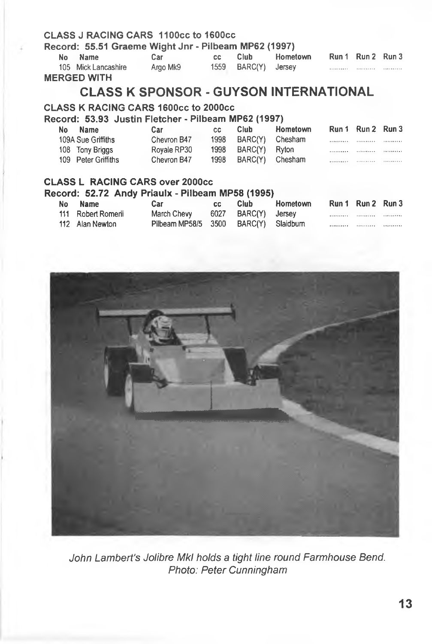#### **CLASS J RACING CARS 1100cc to 1600cc**

#### **Record: 55.51 Graeme Wight Jnr - Pilbeam MP62 (1997)**

| No Name             | Car      | CC. | Club                | Hometown |         | Run 1 Run 2 Run 3 |         |
|---------------------|----------|-----|---------------------|----------|---------|-------------------|---------|
| 105 Mick Lancashire | Argo Mk9 |     | 1559 BARC(Y) Jersey |          | <b></b> | <b>**********</b> | <b></b> |
| <b>FRAFRICHELL</b>  |          |     |                     |          |         |                   |         |

**MERGED WITH**

### **CLASS K SPONSOR - GUYSON INTERNATIONAL**

#### **CLASS K RACING CARS 1600cc to 2000cc**

**Record: 53.93 Justin Fletcher - Pilbeam MP62 (1997)**

| No. | Name                | Car         | CC.  | Club                 | Hometown |            | Run 1 Run 2 Run 3 |                    |
|-----|---------------------|-------------|------|----------------------|----------|------------|-------------------|--------------------|
|     | 109A Sue Griffiths  | Chevron B47 | 1998 | BARC(Y)              | Chesham  |            |                   |                    |
|     | 108 Tony Briggs     | Royale RP30 | 1998 | BARC(Y) Ryton        |          | <b>.</b> . | .                 |                    |
|     | 109 Peter Griffiths | Chevron B47 |      | 1998 BARC(Y) Chesham |          |            |                   | <b>IFFERED EXT</b> |
|     |                     |             |      |                      |          |            |                   |                    |
|     |                     |             |      |                      |          |            |                   |                    |

#### **CLASS L RACING CARS over 2000cc**

#### **Record: 52.72 Andy Priaulx - Pilbeam MP58 (1995)**

| No Name            | Car                                   | CC. | <b>Club</b>         | Hometown | Run 1 Run 2 Run 3 |  |
|--------------------|---------------------------------------|-----|---------------------|----------|-------------------|--|
| 111 Robert Romerii | March Chevy                           |     | 6027 BARC(Y) Jersey |          |                   |  |
| 112 Alan Newton    | Pilbeam MP58/5 3500 BARC(Y) Slaidburn |     |                     |          |                   |  |



*John Lambert's Jolibre Mkl holds a tight line round Farmhouse Bend. Photo: Peter Cunningham*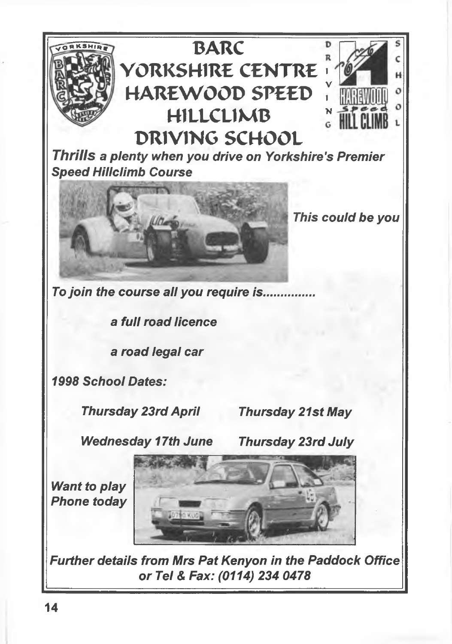

### **BARC** D  $\overline{\mathbf{R}}$ **YORKSHIRE CENTRE > HAREWOOD SPEED <sup>H</sup>**1**LLCL**1**MB ^ DRIVIMG SCHOOL**

*Thrills a plenty when you drive on Yorkshire's Premier Speed Hillclimb Course*



*This could be you*

Ċ H

*To Join the course all you require is***.........**

**a** *full road licence*

*a road legal car*

*1998 School Dates:*

*Thursday 23rd April Thursday 21st May*

*Wednesday 17th June Thursday 23rd July*

*Want to play Phone today*



*Further details from Mrs Pat Kenyon in the Paddock Office or Tel & Fax: (0114) 234 0478*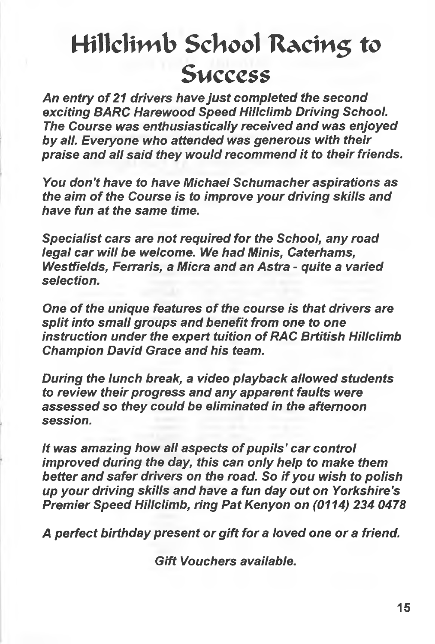# **Hillclimb ScTiool RAciti5 to S mcccss**

*An entry of 21 drivers have just completed the second exciting BARC Harewood Speed Hillclimb Driving School. The Course was enthusiastically received and was enjoyed by all. Everyone who attended was generous with their praise and all said they would recommend it to their friends.*

*You don't have to have Michael Schumacher aspirations as the aim of the Course is to improve your driving skills and have fun at the same time.*

*Specialist cars are not required for the School, any road legal car will be welcome. We had Minis, Caterhams, Westfields, Ferraris, a Micra and an Astra - quite a varied selection.*

*One of the unique features of the course is that drivers are split into small groups and benefit from one to one instruction under the expert tuition of RAC Brtitish Hillclimb Champion David Grace and his team.*

*During the lunch break, a video playback allowed students to review their progress and any apparent faults were assessed so they could be eliminated in the afternoon session.*

*It was amazing how all aspects of pupils' car control improved during the day, this can only help to make them better and safer drivers on the road. So if you wish to polish up your driving skills and have a fun day out on Yorkshire's Premier Speed Hillclimb, ring Pat Kenyon on (0114) 234 0478*

*A perfect birthday present or gift for a loved one or a friend.*

*Gift Vouchers available.*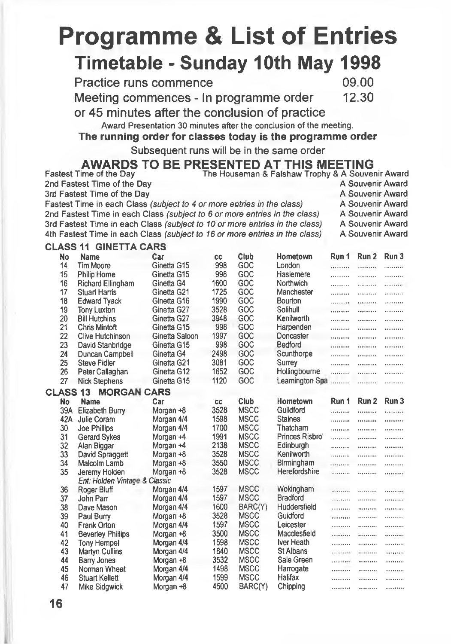# **Programme & List of Entries Timetable - Sunday 10th May 1998**

**2nd Fastest Time of the Day 3rd Fastest Time of the Day**

**Practice runs commence** 09.00<br> **Meeting commences - In programme order** 12.30 **Meeting commences - In programme order** 

**or 45 minutes after the conclusion of practice**

**Award Presentation 30 minutes after the conclusion of the meeting.**

**The running order for classes today is the programme order**

**Subsequent runs will be in the same order**

# **AWARDS TO BE PRESENTED AT THIS MEETING**<br>Fastest Time of the Day The Houseman & Falshaw Trophy & A Souvenir Award

|                 |     | Fastest Time in each Class (subject to 4 or more entries in the class)<br>2nd Fastest Time in each Class (subject to 6 or more entries in the class)<br>3rd Fastest Time in each Class (subject to 10 or more entries in the class)<br>4th Fastest Time in each Class (subject to 16 or more entries in the class) |                |      |             |                 |                      | A Souvenir Award<br>A Souvenir Award<br>A Souvenir Award<br>A Souvenir Award |       |
|-----------------|-----|--------------------------------------------------------------------------------------------------------------------------------------------------------------------------------------------------------------------------------------------------------------------------------------------------------------------|----------------|------|-------------|-----------------|----------------------|------------------------------------------------------------------------------|-------|
|                 |     | <b>CLASS 11 GINETTA CARS</b>                                                                                                                                                                                                                                                                                       |                |      |             |                 |                      |                                                                              |       |
|                 | No  | Name                                                                                                                                                                                                                                                                                                               | Car            | СC   | Club        | Hometown        | Run 1                | Run 2                                                                        | Run 3 |
|                 | 14  | <b>Tim Moore</b>                                                                                                                                                                                                                                                                                                   | Ginetta G15    | 998  | GOC         | London          | .                    | .                                                                            | .     |
|                 | 15  | Philip Horne                                                                                                                                                                                                                                                                                                       | Ginetta G15    | 998  | GOC         | Haslemere       | .                    | .                                                                            |       |
|                 | 16  | Richard Ellingham                                                                                                                                                                                                                                                                                                  | Ginetta G4     | 1600 | GOC         | Northwich       | .                    | .                                                                            |       |
|                 | 17  | <b>Stuart Harris</b>                                                                                                                                                                                                                                                                                               | Ginetta G21    | 1725 | GOC         | Manchester      | .                    |                                                                              |       |
|                 | 18  | <b>Edward Tyack</b>                                                                                                                                                                                                                                                                                                | Ginetta G16    | 1990 | GOC         | Bourton         |                      |                                                                              |       |
|                 | 19  | <b>Tony Luxton</b>                                                                                                                                                                                                                                                                                                 | Ginetta G27    | 3528 | GOC         | Solihull        | .                    |                                                                              | .     |
|                 | 20  | <b>Bill Hutchins</b>                                                                                                                                                                                                                                                                                               | Ginetta G27    | 3948 | GOC         | Kenilworth      |                      |                                                                              | .     |
|                 | 21  | <b>Chris Mintoft</b>                                                                                                                                                                                                                                                                                               | Ginetta G15    | 998  | GOC         | Harpenden       | .                    |                                                                              |       |
|                 | 22  | <b>Clive Hutchinson</b>                                                                                                                                                                                                                                                                                            | Ginetta Saloon | 1997 | GOC         | Doncaster       |                      |                                                                              |       |
|                 | 23  | David Stanbridge                                                                                                                                                                                                                                                                                                   | Ginetta G15    | 998  | GOC         | Bedford         |                      |                                                                              |       |
|                 | 24  | Duncan Campbell                                                                                                                                                                                                                                                                                                    | Ginetta G4     | 2498 | GOC         | Scunthorpe      | .                    |                                                                              | .     |
|                 | 25  | <b>Steve Fidler</b>                                                                                                                                                                                                                                                                                                | Ginetta G21    | 3081 | GOC         | Surrey          | .                    |                                                                              | .     |
|                 | 26  | Peter Callaghan                                                                                                                                                                                                                                                                                                    | Ginetta G12    | 1652 | GOC         | Hollingbourne   | .                    |                                                                              | .     |
|                 | 27  | <b>Nick Stephens</b>                                                                                                                                                                                                                                                                                               | Ginetta G15    | 1120 | GOC         | Learnington Spa |                      |                                                                              | .     |
| <b>CLASS 13</b> |     | <b>MORGAN CARS</b>                                                                                                                                                                                                                                                                                                 |                |      |             |                 |                      |                                                                              |       |
|                 | No  | <b>Name</b>                                                                                                                                                                                                                                                                                                        | Car            | cc   | Club        | Hometown        | Run 1                | Run <sub>2</sub>                                                             | Run 3 |
|                 | 39A | Elizabeth Burry                                                                                                                                                                                                                                                                                                    | Morgan +8      | 3528 | <b>MSCC</b> | Guildford       |                      |                                                                              | .     |
|                 | 42A | Julie Coram                                                                                                                                                                                                                                                                                                        | Morgan 4/4     | 1598 | <b>MSCC</b> | <b>Staines</b>  | .                    |                                                                              |       |
|                 | 30  | <b>Joe Phillips</b>                                                                                                                                                                                                                                                                                                | Morgan 4/4     | 1700 | <b>MSCC</b> | Thatcham        |                      | .                                                                            | .     |
|                 | 31  | <b>Gerard Sykes</b>                                                                                                                                                                                                                                                                                                | Morgan +4      | 1991 | <b>MSCC</b> | Princes Risbro' | .                    |                                                                              |       |
|                 | 32  | Alan Biggar                                                                                                                                                                                                                                                                                                        | Morgan +4      | 2138 | <b>MSCC</b> | Edinburgh       |                      |                                                                              |       |
|                 | 33  | David Spraggett                                                                                                                                                                                                                                                                                                    | Morgan +8      | 3528 | <b>MSCC</b> | Kenilworth      | .                    |                                                                              |       |
|                 | 34  | Malcolm Lamb                                                                                                                                                                                                                                                                                                       | Morgan +8      | 3550 | <b>MSCC</b> | Birmingham      | .                    | .                                                                            | <br>  |
|                 | 35  | Jeremy Holden                                                                                                                                                                                                                                                                                                      | Morgan +8      | 3528 | <b>MSCC</b> | Herefordshire   |                      |                                                                              | .     |
|                 |     | Ent: Holden Vintage & Classic                                                                                                                                                                                                                                                                                      |                |      |             |                 |                      |                                                                              |       |
|                 | 36  | Roger Bluff                                                                                                                                                                                                                                                                                                        | Morgan 4/4     | 1597 | <b>MSCC</b> | Wokingham       |                      |                                                                              |       |
|                 | 37  | John Parr                                                                                                                                                                                                                                                                                                          | Morgan 4/4     | 1597 | <b>MSCC</b> | <b>Bradford</b> | .                    | <br>.                                                                        | <br>  |
|                 | 38  | Dave Mason                                                                                                                                                                                                                                                                                                         | Morgan 4/4     | 1600 | BARC(Y)     | Huddersfield    | .                    |                                                                              | .     |
|                 | 39  | Paul Burry                                                                                                                                                                                                                                                                                                         | Morgan +8      | 3528 | <b>MSCC</b> | Guidford        |                      |                                                                              |       |
|                 | 40  | <b>Frank Orton</b>                                                                                                                                                                                                                                                                                                 | Morgan 4/4     | 1597 | <b>MSCC</b> | Leicester       | .                    |                                                                              |       |
|                 | 41  | <b>Beverley Phillips</b>                                                                                                                                                                                                                                                                                           | Morgan +8      | 3500 | <b>MSCC</b> | Macclesfield    |                      | .                                                                            |       |
|                 | 42  | <b>Tony Hempel</b>                                                                                                                                                                                                                                                                                                 | Morgan 4/4     | 1598 | <b>MSCC</b> | Iver Heath      |                      |                                                                              |       |
|                 | 43  | Martyn Cullins                                                                                                                                                                                                                                                                                                     | Morgan 4/4     | 1840 | <b>MSCC</b> | St Albans       | .<br><b>CONTRACT</b> | <br>.                                                                        | .<br> |
|                 | 44  | <b>Barry Jones</b>                                                                                                                                                                                                                                                                                                 | Morgan $+8$    | 3532 | <b>MSCC</b> | Sale Green      |                      |                                                                              |       |
|                 | 45  | Norman Wheat                                                                                                                                                                                                                                                                                                       | Morgan 4/4     | 1498 | <b>MSCC</b> | Harrogate       |                      |                                                                              |       |
|                 | 46  | <b>Stuart Kellett</b>                                                                                                                                                                                                                                                                                              | Morgan 4/4     | 1599 | <b>MSCC</b> | Halifax         | .                    |                                                                              |       |
|                 | 47  | Mike Sidgwick                                                                                                                                                                                                                                                                                                      | Morgan +8      | 4500 | BARC(Y)     | Chipping        |                      |                                                                              |       |
|                 |     |                                                                                                                                                                                                                                                                                                                    |                |      |             |                 |                      |                                                                              |       |

- 
- **A Souvenir Award**
- **A Souvenir Award**
- **A Souvenir Award**
- 

**A Souvenir Award**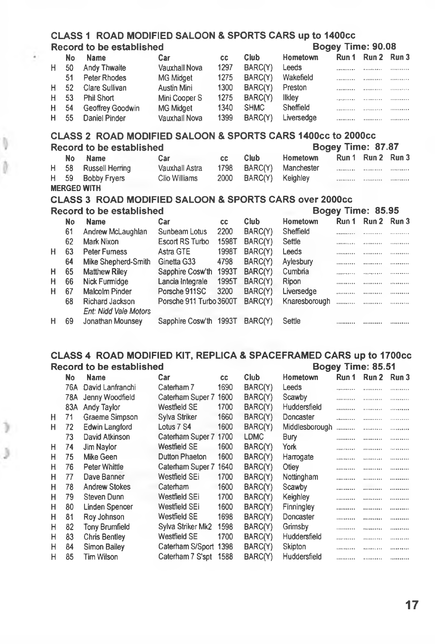| CLASS 1 ROAD MODIFIED SALOON & SPORTS CARS up to 1400cc |  |                   |  |
|---------------------------------------------------------|--|-------------------|--|
| Record to be established                                |  | Bogey Time: 90.08 |  |

|    | No | <b>Name</b>      | Car              | cс   | <b>Club</b> | Hometown      | Run 1 | Run 2 Run 3 |            |
|----|----|------------------|------------------|------|-------------|---------------|-------|-------------|------------|
| н  | 50 | Andy Thwaite     | Vauxhall Nova    | 1297 | BARC(Y)     | Leeds         |       | .           |            |
|    | 51 | Peter Rhodes     | MG Midget        | 1275 | BARC(Y)     | Wakefield     | .     |             | . <i>.</i> |
| H. | 52 | Clare Sullivan   | Austin Mini      | 1300 | BARC(Y)     | Preston       |       | .           |            |
| н. | 53 | Phil Short       | Mini Cooper S    | 1275 | BARC(Y)     | <b>Ilklev</b> |       | <b></b>     | <b></b> .  |
| H  | 54 | Geoffrey Goodwin | <b>MG Midget</b> | 1340 | <b>SHMC</b> | Sheffield     | .     | .           |            |
| H. | 55 | Daniel Pinder    | Vauxhall Nova    | 1399 | BARC(Y)     | Liversedge    |       |             | . <i>.</i> |

#### **CLASS 2 ROAD MODIFIED SALOON & SPORTS CARS 1400cc to 2000cc Record to be established Bogey Time: 87.87**

|     | Record to be established |                |    |                       | DOUCY THE. 07.07        |                   |          |  |  |
|-----|--------------------------|----------------|----|-----------------------|-------------------------|-------------------|----------|--|--|
| No. | Name                     | Car            | CC | Club                  | Hometown                | Run 1 Run 2 Run 3 |          |  |  |
|     | H 58 Russell Herring     | Vauxhall Astra |    |                       | 1798 BARC(Y) Manchester |                   |          |  |  |
|     | H 59 Bobby Fryers        | Clio Williams  |    | 2000 BARC(Y) Keighley |                         |                   | $\cdots$ |  |  |
|     | <b>MERGED WITH</b>       |                |    |                       |                         |                   |          |  |  |

## **CLASS 3 ROAD MODIFIED SALOON & SPORTS CARS over 2000cc**

|   |    | Record to be established |                         |       | Bogey Time: 85.95   |               |         |             |   |
|---|----|--------------------------|-------------------------|-------|---------------------|---------------|---------|-------------|---|
|   | No | <b>Name</b>              | Car                     | CC.   | <b>Club</b>         | Hometown      | Run 1   | Run 2 Run 3 |   |
|   | 61 | Andrew McLaughlan        | Sunbeam Lotus           | 2200  | BARC(Y)             | Sheffield     |         |             |   |
|   | 62 | Mark Nixon               | Escort RS Turbo         | 1598T | BARC(Y)             | Settle        | <b></b> | .           |   |
| н | 63 | <b>Peter Furness</b>     | Astra GTE               | 1998T | BARC <sub>(Y)</sub> | Leeds         | <b></b> | .           |   |
|   | 64 | Mike Shepherd-Smith      | Ginetta G33             | 4798  | BARC(Y)             | Aylesbury     | <b></b> |             |   |
| н | 65 | <b>Matthew Riley</b>     | Sapphire Cosw'th        | 1993T | BARC(Y)             | Cumbria       |         |             |   |
| н | 66 | Nick Furmidge            | Lancia Integrale        | 1995T | BARC(Y)             | Ripon         |         |             | . |
| н | 67 | Malcolm Pinder           | Porsche 911SC           | 3200  | BARC(Y)             | Liversedge    |         |             |   |
|   | 68 | <b>Richard Jackson</b>   | Porsche 911 Turbo 3600T |       | BARC(Y)             | Knaresborough |         |             |   |
|   |    | Ent: Nidd Vale Motors    |                         |       |                     |               |         |             |   |
| н | 69 | Jonathan Mounsey         | Sapphire Cosw'th 1993T  |       | BARC(Y)             | Settle        |         |             |   |
|   |    |                          |                         |       |                     |               |         |             |   |

#### **CLASS 4 ROAD MODIFIED KIT, REPLICA & SPACEFRAMED CARS up to 1700cc Record to be established Bogey Time: 85.51**

|   | No  | <b>Name</b>          | Car                 | CC.  | Club    | <b>Hometown</b> | Run 1    | Run 2             | Run 3 |
|---|-----|----------------------|---------------------|------|---------|-----------------|----------|-------------------|-------|
|   | 76A | David Lanfranchi     | Caterham 7          | 1690 | BARC(Y) | Leeds           |          |                   |       |
|   | 78A | Jenny Woodfield      | Caterham Super 7    | 1600 | BARC(Y) | Scawby          |          | .                 |       |
|   | 83A | Andy Taylor          | Westfield SE        | 1700 | BARC(Y) | Huddersfield    |          | .                 |       |
| н | 71  | Graeme Simpson       | Sylva Striker       | 1660 | BARC(Y) | Doncaster       | .        |                   |       |
| н | 72  | Edwin Langford       | Lotus 7 S4          | 1600 | BARC(Y) | Middlesborough  |          |                   |       |
|   | 73  | David Atkinson       | Caterham Super 7    | 1700 | LDMC    | Bury            |          | .                 |       |
| н | 74  | Jim Navlor           | <b>Westfield SE</b> | 1600 | BARC(Y) | York            |          |                   | .     |
| н | 75  | Mike Geen            | Dutton Phaeton      | 1600 | BARC(Y) | Harrogate       | <b>.</b> |                   |       |
| н | 76  | Peter Whittle        | Caterham Super 7    | 1640 | BARC(Y) | Otiev           |          |                   |       |
| н | 77  | Dave Banner          | Westfield SEi       | 1700 | BARC(Y) | Nottingham      |          |                   |       |
| н | 78  | <b>Andrew Stokes</b> | Caterham            | 1600 | BARC(Y) | Scawby          |          |                   |       |
| н | 79  | Steven Dunn          | Westfield SEi       | 1700 | BARC(Y) | Keighley        |          | <b>**********</b> |       |
| н | 80  | Linden Spencer       | Westfield SEi       | 1600 | BARC(Y) | Finningley      |          |                   |       |
| н | 81  | Roy Johnson          | Westfield SE        | 1698 | BARC(Y) | Doncaster       |          |                   |       |
| н | 82  | Tony Brumfield       | Sylva Striker Mk2   | 1598 | BARC(Y) | Grimsby         |          |                   |       |
| н | 83  | <b>Chris Bentley</b> | Westfield SE        | 1700 | BARC(Y) | Huddersfield    |          |                   |       |
| н | 84  | Simon Bailey         | Caterham S/Sport    | 1398 | BARC(Y) | Skipton         |          |                   |       |
| н | 85  | Tim Wilson           | Caterham 7 S'spt    | 1588 | BARC(Y) | Huddersfield    |          | .                 |       |
|   |     |                      |                     |      |         |                 |          |                   |       |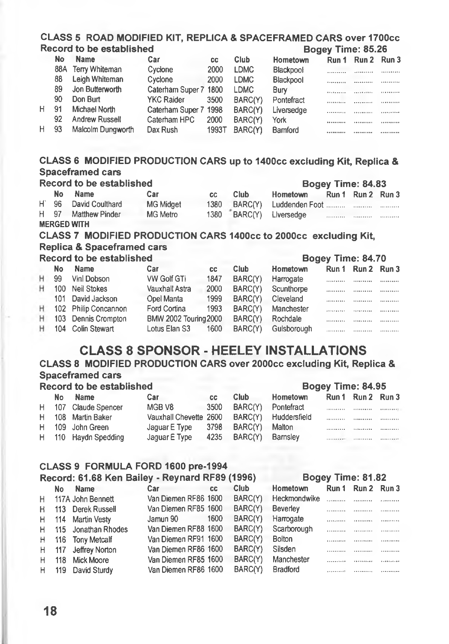|    |           | CLASS 5 ROAD MODIFIED KIT, REPLICA & SPACEFRAMED CARS over 1700cc<br>Record to be established |                              |           |             |                | Bogey Time: 85.26 |             |       |
|----|-----------|-----------------------------------------------------------------------------------------------|------------------------------|-----------|-------------|----------------|-------------------|-------------|-------|
|    | No        | <b>Name</b>                                                                                   | Car                          | CC        | <b>Club</b> | Hometown       | Run 1             | Run 2       | Run 3 |
|    | 88A       | Terry Whiteman                                                                                | Cyclone                      | 2000      | <b>LDMC</b> | Blackpool      |                   |             |       |
|    | 88        | Leigh Whiteman                                                                                | Cyclone                      | 2000      | <b>LDMC</b> | Blackpool      | .                 | .           | .     |
|    | 89        | Jon Butterworth                                                                               | Caterham Super 7 1800        |           | <b>LDMC</b> | Bury           | .                 |             | .     |
|    | 90        | Don Burt                                                                                      | <b>YKC Raider</b>            | 3500      | BARC(Y)     | Pontefract     | .                 |             | .     |
| н  | 91        | Michael North                                                                                 | Caterham Super 7 1998        |           |             |                |                   | .           | .     |
|    | 92        | <b>Andrew Russell</b>                                                                         | Caterham HPC                 | 2000      | BARC(Y)     | Liversedge     | .                 | .           | .     |
| н  | 93        | Malcolm Dungworth                                                                             | Dax Rush                     | 1993T     | BARC(Y)     | York           |                   |             |       |
|    |           |                                                                                               |                              |           | BARC(Y)     | Bamford        |                   | .           | .     |
|    |           | CLASS 6 MODIFIED PRODUCTION CARS up to 1400cc excluding Kit, Replica &                        |                              |           |             |                |                   |             |       |
|    |           | <b>Spaceframed cars</b>                                                                       |                              |           |             |                |                   |             |       |
|    |           | <b>Record to be established</b>                                                               |                              |           |             |                | Bogey Time: 84.83 |             |       |
|    | <b>No</b> | <b>Name</b>                                                                                   | Car                          | CC        | Club.       | Hometown       | Run 1             | Run 2 Run 3 |       |
| H. | 96        | David Coulthard                                                                               | <b>MG Midget</b>             | 1380      | BARC(Y)     | Luddenden Foot |                   | .           | .     |
| H  | 97        | <b>Matthew Pinder</b>                                                                         | <b>MG Metro</b>              | 1380      | BARC(Y)     | Liversedge     | .                 | .           |       |
|    |           | <b>MERGED WITH</b>                                                                            |                              |           |             |                |                   |             |       |
|    |           | CLASS 7 MODIFIED PRODUCTION CARS 1400cc to 2000cc excluding Kit,                              |                              |           |             |                |                   |             |       |
|    |           | <b>Replica &amp; Spaceframed cars</b>                                                         |                              |           |             |                |                   |             |       |
|    |           | <b>Record to be established</b>                                                               |                              |           |             |                | Bogey Time: 84.70 |             |       |
|    | No        | <b>Name</b>                                                                                   | Car                          | <b>CC</b> | Club.       | Hometown       | Run 1             | Run 2       | Run 3 |
| н  | 99        | Vinl Dobson                                                                                   | <b>VW Golf GTi</b>           | 1847      | BARC(Y)     | Harrogate      | .                 | .           | .     |
| н  |           | 100 Neil Stokes                                                                               | Vauxhall Astra               | 2000      | BARC(Y)     | Scunthorpe     |                   |             | .     |
|    | 101       | David Jackson                                                                                 | Opel Manta                   | 1999      | BARC(Y)     | Cleveland      |                   |             | .     |
| н  |           | 102 Philip Concannon                                                                          | Ford Cortina                 | 1993      | BARC(Y)     | Manchester     | .                 |             | .     |
| н  | 103       | Dennis Crompton                                                                               | <b>BMW 2002 Touring 2000</b> |           | BARC(Y)     | Rochdale       | .                 |             |       |
| н  | 104       | Colin Stewart                                                                                 | Lotus Elan S3                | 1600      | BARC(Y)     | Gulsborough    | .                 |             | .     |
|    |           |                                                                                               |                              |           |             |                |                   |             |       |
|    |           | <b>CLASS 8 SPONSOR - HEELEY INSTALLATIONS</b>                                                 |                              |           |             |                |                   |             |       |
|    |           | CLASS 8 MODIFIED PRODUCTION CARS over 2000cc excluding Kit, Replica &                         |                              |           |             |                |                   |             |       |
|    |           | <b>Spaceframed cars</b>                                                                       |                              |           |             |                |                   |             |       |
|    |           | <b>Record to be established</b>                                                               |                              |           |             |                | Bogey Time: 84.95 |             |       |
|    | No        | Name                                                                                          | Car                          | <b>CC</b> | Club.       | Hometown       | Run 1             | Run 2       | Run 3 |
| н  |           | 107 Claude Spencer                                                                            | MGB <sub>V8</sub>            | 3500      | BARC(Y)     | Pontefract     |                   | .           | .     |
| н  |           | 108 Martin Baker                                                                              | Vauxhall Chevette 2600       |           | BARC(Y)     | Huddersfield   |                   |             | .     |
| н  | 109       | John Green                                                                                    | Jaguar E Type                | 3798      | BARC(Y)     | Malton         |                   | .           | .     |
| н  | 110       | <b>Haydn Spedding</b>                                                                         | Jaquar E Type                | 4235      | BARC(Y)     | Barnsley       |                   | .           | .     |
|    |           |                                                                                               |                              |           |             |                |                   |             |       |
|    |           | CLASS 9 FORMULA FORD 1600 pre-1994                                                            |                              |           |             |                |                   |             |       |
|    |           | Record: 61.68 Ken Bailey - Revnard RF89 (1996)                                                |                              |           |             |                | Bogey Time: 81 82 |             |       |

| Record: 61.68 Ken Bailey - Reynard RF89 (1996) |     |                       |                      |      |         |               |                        | Bogey Time: 81.82 |   |
|------------------------------------------------|-----|-----------------------|----------------------|------|---------|---------------|------------------------|-------------------|---|
|                                                | No. | <b>Name</b>           | Car                  | CC.  | Club    | Hometown      | Run 1                  | Run 2 Run 3       |   |
| H                                              |     | 117A John Bennett     | Van Diemen RF86 1600 |      | BARC(Y) | Heckmondwike  | $\ldots \ldots \ldots$ |                   |   |
| н.                                             |     | 113 Derek Russell     | Van Diemen RF85 1600 |      | BARC(Y) | Beverley      | .                      |                   |   |
| H.                                             |     | 114 Martin Vesty      | Jamun 90             | 1600 | BARC(Y) | Harrogate     |                        | . <i>.</i>        |   |
|                                                |     | H 115 Jonathan Rhodes | Van Diemen RF88 1600 |      | BARC(Y) | Scarborough   |                        | .                 |   |
|                                                |     | H 116 Tony Metcalf    | Van Diemen RF91 1600 |      | BARC(Y) | <b>Bolton</b> |                        |                   | . |
|                                                |     | H 117 Jeffrey Norton  | Van Diemen RF86 1600 |      | BARC(Y) | Silsden       |                        |                   | . |
| H.                                             |     | 118 Mick Moore        | Van Diemen RF85 1600 |      | BARC(Y) | Manchester    | <b></b>                |                   |   |
|                                                |     | H 119 David Sturdy    | Van Diemen RF86 1600 |      | BARC(Y) | Bradford      | . <i>.</i> 8           |                   |   |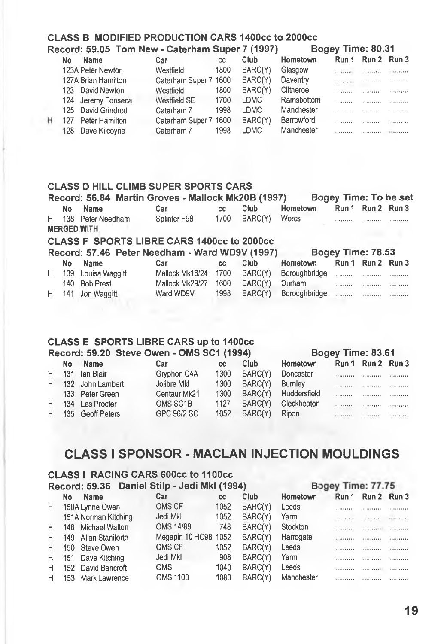#### **CLASS B MODIFIED PRODUCTION CARS 1400cc to 2000cc Record: 59.05 Tom New - Caterham Super 7 (1997)**

|    | .                   |                       |      |             |                 |   | .                 |         |
|----|---------------------|-----------------------|------|-------------|-----------------|---|-------------------|---------|
| No | <b>Name</b>         | Car                   | СC   | Club        | <b>Hometown</b> |   | Run 1 Run 2 Run 3 |         |
|    | 123A Peter Newton   | Westfield             | 1800 | BARC(Y)     | Glasgow         |   |                   |         |
|    | 127A Brian Hamilton | Caterham Super 7 1600 |      | BARC(Y)     | Daventry        |   |                   |         |
|    | 123 David Newton    | Westfield             | 1800 | BARC(Y)     | Clitheroe       |   |                   |         |
|    | 124 Jeremy Fonseca  | Westfield SE          | 1700 | <b>LDMC</b> | Ramsbottom      |   |                   | .       |
|    | 125 David Grindrod  | Caterham 7            | 1998 | <b>LDMC</b> | Manchester      |   |                   | <b></b> |
|    | 127 Peter Hamilton  | Caterham Super 7 1600 |      | BARC(Y)     | Barrowford      |   | <i>.</i>          |         |
|    | 128 Dave Kilcoyne   | Caterham 7            | 1998 | LDMC        | Manchester      | . |                   |         |

#### **CLASS D HILL CLIMB SUPER SPORTS CARS**

| Bogey Time: To be set<br>Record: 56.84 Martin Groves - Mallock Mk20B (1997) |                      |                                                   |      |         |               |                   |                   |   |
|-----------------------------------------------------------------------------|----------------------|---------------------------------------------------|------|---------|---------------|-------------------|-------------------|---|
| No                                                                          | Name                 | Car                                               | CC.  | Club    | Hometown      |                   | Run 1 Run 2 Run 3 |   |
|                                                                             | H 138 Peter Needham  | Splinter F98                                      | 1700 | BARC(Y) | Worcs         |                   |                   |   |
|                                                                             | <b>MERGED WITH</b>   |                                                   |      |         |               |                   |                   |   |
|                                                                             |                      | <b>CLASS F SPORTS LIBRE CARS 1400cc to 2000cc</b> |      |         |               |                   |                   |   |
|                                                                             |                      | Record: 57.46 Peter Needham - Ward WD9V (1997)    |      |         |               | Bogey Time: 78.53 |                   |   |
| No.                                                                         | Name                 | Car                                               | CC.  | Club    | Hometown      |                   | Run 1 Run 2 Run 3 |   |
|                                                                             | H 139 Louisa Waggitt | Mallock Mk18/24                                   | 1700 | BARC(Y) | Boroughbridge |                   |                   |   |
|                                                                             | 140 Bob Prest        | Mallock Mk29/27                                   | 1600 | BARC(Y) | Durham        |                   |                   | . |
|                                                                             | H 141 Jon Waggitt    | Ward WD9V                                         | 1998 | BARC(Y) | Boroughbridge |                   |                   |   |

#### **CLASS E SPORTS LIBRE CARS up to 1400cc Record: 59.20 Steve Owen - OMS SC1 (1994)**

#### **Bogey Time: 83.61**

| No | <b>Name</b>        | Car          | CC.  | Club    | Hometown             |                   | Run 1 Run 2 Run 3 |         |
|----|--------------------|--------------|------|---------|----------------------|-------------------|-------------------|---------|
|    | H 131 Ian Blair    | Gryphon C4A  | 1300 | BARC(Y) | Doncaster            |                   |                   |         |
|    | H 132 John Lambert | Jolibre Mkl  | 1300 | BARC(Y) | Bumley               |                   |                   |         |
|    | 133 Peter Green    | Centaur Mk21 | 1300 |         | BARC(Y) Huddersfield |                   | .                 |         |
|    | H 134 Les Procter  | OMS SC1B     | 1127 | BARC(Y) | Cleckheaton          | <b>**********</b> | <b></b>           |         |
|    | H 135 Geoff Peters | GPC 96/2 SC  | 1052 | BARC(Y) | Ripon                |                   | <b></b>           | <b></b> |

### **CLASS I SPONSOR - MACLAN INJECTION MOULDINGS**

#### **CLASS 1 RACING CARS 600cc to IIOOcc Record: 59.36 Daniel Stilp - Jedi Mkl (1994) Bogey Time: 77.75**

|    | No | Name                 | Car                  | CC   | Club.   | Hometown   |          | Run 1 Run 2 Run 3 |                   |
|----|----|----------------------|----------------------|------|---------|------------|----------|-------------------|-------------------|
| Н. |    | 150A Lynne Owen      | OMS CF               | 1052 | BARC(Y) | Leeds      |          |                   |                   |
|    |    | 151A Norman Kitching | Jedi Mkl             | 1052 | BARC(Y) | Yarm       |          |                   | <b>**********</b> |
| Н. |    | 148 Michael Walton   | OMS 14/89            | 748  | BARC(Y) | Stockton   |          |                   | <b></b>           |
| H. |    | 149 Allan Staniforth | Megapin 10 HC98 1052 |      | BARC(Y) | Harrogate  | <b></b>  |                   |                   |
| н. |    | 150 Steve Owen       | OMS CF               | 1052 | BARC(Y) | Leeds      |          |                   |                   |
|    |    | H 151 Dave Kitching  | Jedi Mkl             | 908  | BARC(Y) | Yarm       | <b>.</b> | .                 |                   |
| H  |    | 152 David Bancroft   | OMS.                 | 1040 | BARC(Y) | Leeds      |          | <b>**********</b> |                   |
| H. |    | 153 Mark Lawrence    | <b>OMS 1100</b>      | 1080 | BARC(Y) | Manchester |          |                   |                   |
|    |    |                      |                      |      |         |            |          |                   |                   |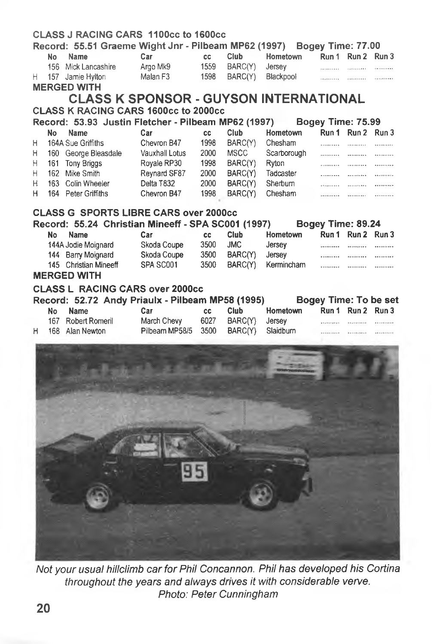|           | CLASS J RACING CARS 1100cc to 1600cc                                   |                          |           |             |             |                       |                   |   |
|-----------|------------------------------------------------------------------------|--------------------------|-----------|-------------|-------------|-----------------------|-------------------|---|
|           | Record: 55.51 Graeme Wight Jnr - Pilbeam MP62 (1997) Bogey Time: 77.00 |                          |           |             |             |                       |                   |   |
| No        | Name                                                                   | Car                      | cc        | Club        | Hometown    |                       | Run 1 Run 2 Run 3 |   |
|           | 156 Mick Lancashire                                                    | Argo Mk9                 | 1559      | BARC(Y)     | Jersey      |                       |                   | . |
| Н.        | 157 Jamie Hylton                                                       | Malan F3                 | 1598      | BARC(Y)     | Blackpool   |                       |                   |   |
|           | <b>MERGED WITH</b>                                                     |                          |           |             |             |                       |                   |   |
|           | <b>CLASS K SPONSOR - GUYSON INTERNATIONAL</b>                          |                          |           |             |             |                       |                   |   |
|           | <b>CLASS K RACING CARS 1600cc to 2000cc</b>                            |                          |           |             |             |                       |                   |   |
|           | Record: 53.93 Justin Fletcher - Pilbeam MP62 (1997)                    |                          |           |             |             | Bogey Time: 75.99     |                   |   |
| No        | <b>Name</b>                                                            | Car                      | CC        | Club        | Hometown    |                       | Run 1 Run 2 Run 3 |   |
| Н         | 164A Sue Griffiths                                                     | Chevron B47              | 1998      | BARC(Y)     | Chesham     |                       |                   | . |
| Η         | 160 George Bleasdale                                                   | Vauxhall Lotus           | 2000      | <b>MSCC</b> | Scarborough |                       |                   | . |
| Η         | 161 Tony Briggs                                                        | Royale RP30              | 1998      | BARC(Y)     | Ryton       |                       |                   |   |
| н         | 162 Mike Smith                                                         | Reynard SF87             | 2000      | BARC(Y)     | Tadcaster   | .                     | .                 | . |
| Η         | 163 Colin Wheeler                                                      | Delta T832               | 2000      | BARC(Y)     | Sherburn    | .                     | 1.1.1.1.1.1.1.1   |   |
| н         | 164 Peter Griffiths                                                    | Chevron B47              | 1998      | BARC(Y)     | Chesham     | .                     | .                 | . |
|           |                                                                        |                          |           |             |             |                       |                   |   |
|           | <b>CLASS G SPORTS LIBRE CARS over 2000cc</b>                           |                          |           |             |             |                       |                   |   |
|           | Record: 55.24 Christian Mineeff - SPA SC001 (1997)                     |                          |           |             |             | Bogey Time: 89.24     |                   |   |
| <b>No</b> | <b>Name</b>                                                            | Car                      | cc        | Club        | Hometown    |                       | Run 1 Run 2 Run 3 |   |
|           | 144A Jodie Moignard                                                    | Skoda Coupe              | 3500      | <b>JMC</b>  | Jersey      |                       |                   | . |
|           | 144 Barry Moignard                                                     | Skoda Coupe<br>SPA SC001 | 3500      | BARC(Y)     | Jersey      |                       |                   |   |
|           | 145 Christian Mineeff<br><b>MERGED WITH</b>                            |                          | 3500      | BARC(Y)     | Kermincham  | .                     | .                 |   |
|           |                                                                        |                          |           |             |             |                       |                   |   |
|           | <b>CLASS L RACING CARS over 2000cc</b>                                 |                          |           |             |             |                       |                   |   |
|           |                                                                        |                          |           |             |             |                       |                   |   |
|           | Record: 52.72 Andy Priaulx - Pilbeam MP58 (1995)                       |                          |           |             |             | Bogey Time: To be set |                   |   |
| No        | <b>Name</b>                                                            | Car                      | <b>CC</b> | Club        | Hometown    |                       | Run 1 Run 2 Run 3 |   |
|           | 167 Robert Romeril                                                     | March Chevy              | 6027      | BARC(Y)     | Jersey      |                       |                   | . |
| H.        | 168 Alan Newton                                                        | Pilbeam MP58/5 3500      |           | BARC(Y)     | Slaidburn   | .                     | .                 |   |
|           |                                                                        |                          |           |             |             |                       |                   |   |
|           |                                                                        |                          |           |             |             |                       |                   |   |
|           |                                                                        |                          |           |             |             |                       |                   |   |
|           |                                                                        |                          |           |             |             |                       |                   |   |
|           |                                                                        |                          |           |             |             |                       |                   |   |
|           |                                                                        |                          |           |             |             |                       |                   |   |
|           |                                                                        |                          |           |             |             |                       |                   |   |
|           |                                                                        |                          |           |             |             |                       |                   |   |
|           |                                                                        |                          |           |             |             |                       |                   |   |
|           |                                                                        |                          |           |             |             |                       |                   |   |
|           |                                                                        |                          |           |             |             |                       |                   |   |
|           |                                                                        |                          |           |             |             |                       |                   |   |
|           |                                                                        |                          |           |             |             |                       |                   |   |
|           |                                                                        |                          |           |             |             |                       |                   |   |
|           |                                                                        |                          |           |             |             |                       |                   |   |
|           |                                                                        |                          |           |             |             |                       |                   |   |
|           |                                                                        |                          |           |             |             |                       |                   |   |
|           |                                                                        |                          |           |             |             |                       |                   |   |
|           |                                                                        |                          |           |             |             |                       |                   |   |
|           |                                                                        |                          |           |             |             |                       |                   |   |

*Not your usual hillclimb car for Phil Concannon. Phil has developed his Cortina throughout the years and always drives it with considerable verve. Photo: Peter Cunningham*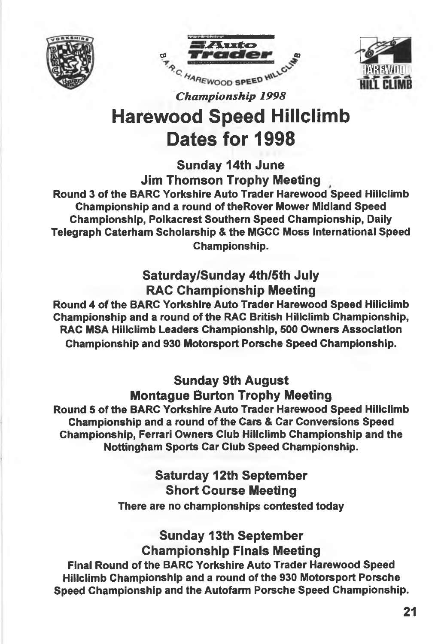





*Championship 1998*

# **Harewood Speed Hillclimb Dates for 1998**

**Sunday 14th June**

**Jim Thomson Trophy Meeting**

**Round 3 of the BARC Yorkshire Auto Trader Harewood Speed Hillclimb Championship and a round of theRover Mower Midland Speed Championship, Polkacrest Southern Speed Championship, Daily Telegraph Caterham Scholarship & the MGCC Moss International Speed Championship.**

## **Saturday/Sunday 4th/5th July RAC Championship Meeting**

**Round 4 of the BARC Yorkshire Auto Trader Harewood Speed Hiliclimb Championship and a round of the RAC British Hillclimb Championship, RAC MSA Hillclimb Leaders Championship, 500 Owners Association Championship and 930 Motorsport Porsche Speed Championship.**

### **Sunday 9th August Montague Burton Trophy Meeting**

**Round 5 of the BARC Yorkshire Auto Trader Harewood Speed Hillclimb Championship and a round of the Cars & Car Conversions Speed Championship, Ferrari Owners Club Hiliclimb Championship and the Nottingham Sports Car Club Speed Championship.**

### **Saturday 12th September Short Course Meeting There are no championships contested today**

**Sunday 13th September Championship Finals Meeting Final Round of the BARC Yorkshire Auto Trader Harewood Speed Hillclimb Championship and a round of the 930 Motorsport Porsche Speed Championship and the Autofarm Porsche Speed Championship.**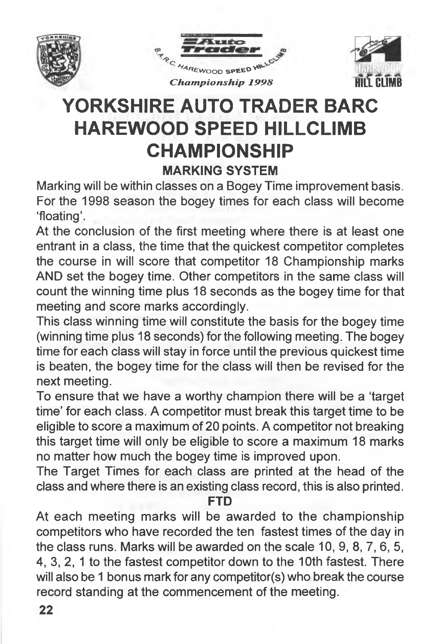





# **YORKSHIRE AUTO TRADER BARC HAREWOOD SPEED HILLCLIMB CHAMPIONSHIP MARKING SYSTEM**

**Marking will be within classes on a Bogey Time improvement basis. For the 1998 season the bogey times for each class will become 'floating'.**

**At the conclusion of the first meeting where there is at least one entrant in a class, the time that the quickest competitor completes the course in will score that competitor 18 Championship marks AND set the bogey time. Other competitors in the same class will count the winning time plus 18 seconds as the bogey time for that meeting and score marks accordingly.**

**This class winning time will constitute the basis for the bogey time (winning time plus 18 seconds) for the following meeting. The bogey time for each class will stay in force until the previous quickest time is beaten, the bogey time for the class will then be revised for the next meeting.**

**To ensure that we have a worthy champion there will be a 'target time' for each class. A competitor must break this target time to be eligible to score a maximum of 20 points. A competitor not breaking this target time will only be eligible to score a maximum 18 marks no matter how much the bogey time is improved upon.**

**The Target Times for each class are printed at the head of the class and where there is an existing class record, this is also printed.**

**FID**

**At each meeting marks will be awarded to the championship competitors who have recorded the ten fastest times of the day in the class runs. Marks will be awarded on the scale 10, 9, 8, 7, 6, 5, 4, 3, 2, 1 to the fastest competitor down to the 10th fastest. There will also be 1 bonus mark for any competitor(s) who break the course record standing at the commencement of the meeting.**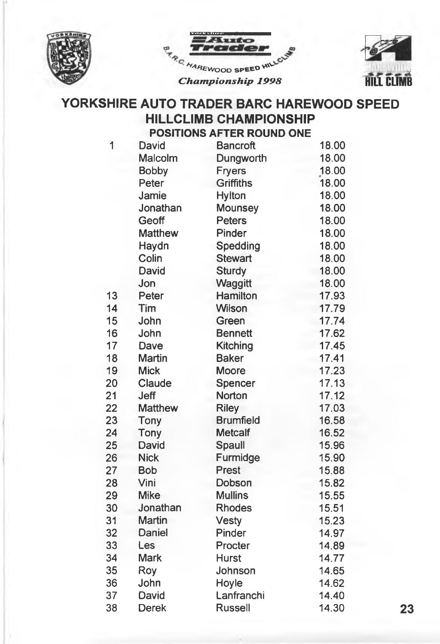





### **YORKSHIRE AUTO TRADER BARC HAREWOOD SPEED HILLCLIMB CHAMPIONSHIP POSITIONS AFTER ROUND ONE**

| 1  | David          | <b>Bancroft</b>  | 18.00 |    |
|----|----------------|------------------|-------|----|
|    | Malcolm        | Dungworth        | 18.00 |    |
|    | <b>Bobby</b>   | <b>Fryers</b>    | 18.00 |    |
|    | Peter          | <b>Griffiths</b> | 18.00 |    |
|    | Jamie          | Hylton           | 18.00 |    |
|    | Jonathan       | Mounsey          | 18.00 |    |
|    | Geoff          | <b>Peters</b>    | 18.00 |    |
|    | <b>Matthew</b> | Pinder           | 18.00 |    |
|    | Haydn          | Spedding         | 18.00 |    |
|    | Colin          | <b>Stewart</b>   | 18.00 |    |
|    | David          | <b>Sturdy</b>    | 18.00 |    |
|    | Jon            | Waggitt          | 18.00 |    |
| 13 | Peter          | Hamilton         | 17.93 |    |
| 14 | Tim            | Wilson           | 17.79 |    |
| 15 | John           | Green            | 17.74 |    |
| 16 | John           | <b>Bennett</b>   | 17.62 |    |
| 17 | Dave           | <b>Kitching</b>  | 17.45 |    |
| 18 | <b>Martin</b>  | <b>Baker</b>     | 17.41 |    |
| 19 | <b>Mick</b>    | <b>Moore</b>     | 17.23 |    |
| 20 | Claude         | Spencer          | 17.13 |    |
| 21 | Jeff           | Norton           | 17.12 |    |
| 22 | <b>Matthew</b> | <b>Riley</b>     | 17.03 |    |
| 23 | Tony           | <b>Brumfield</b> | 16.58 |    |
| 24 | Tony           | <b>Metcalf</b>   | 16.52 |    |
| 25 | David          | Spaull           | 15.96 |    |
| 26 | <b>Nick</b>    | Furmidge         | 15.90 |    |
| 27 | <b>Bob</b>     | <b>Prest</b>     | 15.88 |    |
| 28 | Vini           | Dobson           | 15.82 |    |
| 29 | <b>Mike</b>    | <b>Mullins</b>   | 15.55 |    |
| 30 | Jonathan       | <b>Rhodes</b>    | 15.51 |    |
| 31 | <b>Martin</b>  | <b>Vesty</b>     | 15.23 |    |
| 32 | Daniel         | Pinder           | 14.97 |    |
| 33 | Les            | Procter          | 14.89 |    |
| 34 | <b>Mark</b>    | <b>Hurst</b>     | 14.77 |    |
| 35 | Roy            | Johnson          | 14.65 |    |
| 36 | John           | Hoyle            | 14.62 |    |
| 37 | David          | Lanfranchi       | 14.40 |    |
| 38 | Derek          | <b>Russell</b>   | 14.30 | 23 |
|    |                |                  |       |    |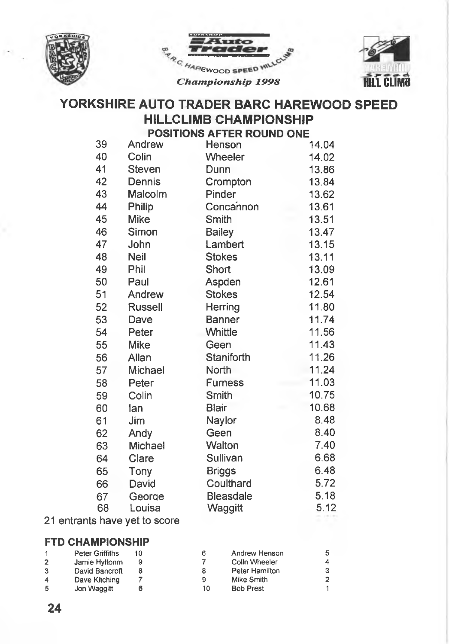





### **YORKSHIRE AUTO TRADER BARC HAREWOOD SPEED HILLCLIMB CHAMPIONSHIP POSITIONS AFTER POLIND ONE**

|    |                | <u>FUSITIUNG AFTER RUUND UNE</u> |       |
|----|----------------|----------------------------------|-------|
| 39 | Andrew         | Henson                           | 14.04 |
| 40 | Colin          | Wheeler                          | 14.02 |
| 41 | Steven         | Dunn                             | 13.86 |
| 42 | Dennis         | Crompton                         | 13.84 |
| 43 | Malcolm        | Pinder                           | 13.62 |
| 44 | Philip         | Concannon                        | 13.61 |
| 45 | <b>Mike</b>    | <b>Smith</b>                     | 13.51 |
| 46 | Simon          | <b>Bailey</b>                    | 13.47 |
| 47 | John           | Lambert                          | 13.15 |
| 48 | Neil           | <b>Stokes</b>                    | 13.11 |
| 49 | Phil           | Short                            | 13.09 |
| 50 | Paul           | Aspden                           | 12.61 |
| 51 | Andrew         | <b>Stokes</b>                    | 12.54 |
| 52 | <b>Russell</b> | Herring                          | 11.80 |
| 53 | Dave           | <b>Banner</b>                    | 11.74 |
| 54 | Peter          | Whittle                          | 11.56 |
| 55 | <b>Mike</b>    | Geen                             | 11.43 |
| 56 | Allan          | Staniforth                       | 11.26 |
| 57 | Michael        | North                            | 11.24 |
| 58 | Peter          | <b>Furness</b>                   | 11.03 |
| 59 | Colin          | Smith                            | 10.75 |
| 60 | lan            | <b>Blair</b>                     | 10.68 |
| 61 | Jim            | Naylor                           | 8.48  |
| 62 | Andy           | Geen                             | 8.40  |
| 63 | Michael        | Walton                           | 7.40  |
| 64 | Clare          | Sullivan                         | 6.68  |
| 65 | Tony           | <b>Briggs</b>                    | 6.48  |
| 66 | David          | Coulthard                        | 5.72  |
| 67 | George         | <b>Bleasdale</b>                 | 5.18  |
| 68 | Louisa         | Waggitt                          | 5.12  |
|    |                |                                  |       |

### **21 entrants have yet to score**

### **FTD CHAMPIONSHIP**

|                | <b>Peter Griffiths</b> |    | Andrew Henson    | 5 |
|----------------|------------------------|----|------------------|---|
| $\overline{2}$ | Jamie Hyltonm          |    | Colln Wheeler    | 4 |
| 3              | David Bancroft         | 8  | Peter Hamilton   | 3 |
| 4              | Dave Kitching          | 9  | Mike Smith       | 2 |
| -5             | Jon Waggitt            | 10 | <b>Bob Prest</b> |   |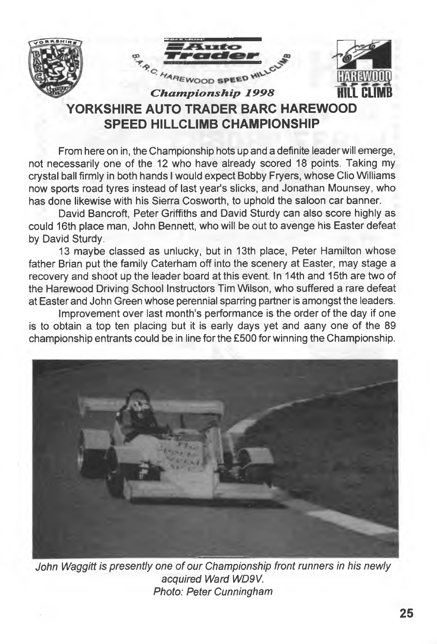





# **YORKSHIRE AUTO TRADER BARC HAREWOOD SPEED HILLCLIMB CHAMPIONSHIP**

**From here on in, the Championship hots up and a definite leader will emerge, not necessarily one of the 12 who have already scored 18 points. Taking my crystal ball firmly in both hands I would expect Bobby Fryers, whose Clio Williams now sports road tyres instead of last year's slicks, and Jonathan Mounsey, who has done likewise with his Sierra Cosworth, to uphold the saloon car banner.**

**David Bancroft, Peter Griffiths and David Sturdy can also score highly as could 16th place man, John Bennett, who will be out to avenge his Easter defeat by David Sturdy.**

**13 maybe classed as unlucky, but in 13th place, Peter Hamilton whose father Brian put the family Caterham off into the scenery at Easter, may stage a recovery and shoot up the leader board at this event. In 14th and 15th are two of the Harewood Driving School Instructors Tim Wilson, who suffered a rare defeat at Easter and John Green whose perennial sparring partner is amongst the leaders.**

**Improvement over last month's performance is the order of the day if one is to obtain a top ten placing but it is early days yet and aany one of the 89 championship entrants could be in line for the £500 for winning the Championship.**



*John Waggitt is presently one of our Championship front runners in his newly acquired Ward WD9V. Photo: Peter Cunningham*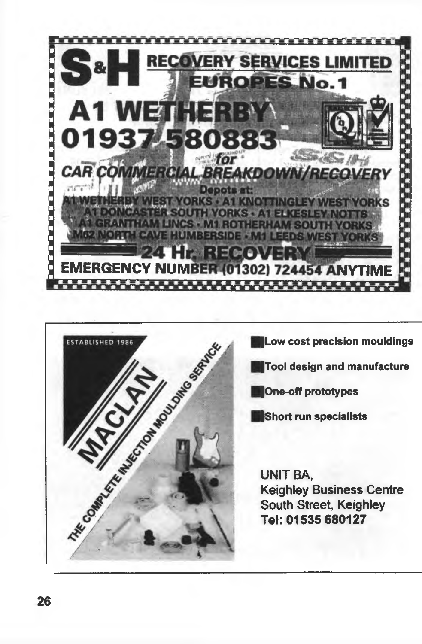



**|Low cost precision mouidings**

**|Tool design and manufacture**

**|One-off prototypes**

**IShort run specialists**

**UNIT BA, Keighley Business Centre South Street, Keighley Tel; 01535 680127**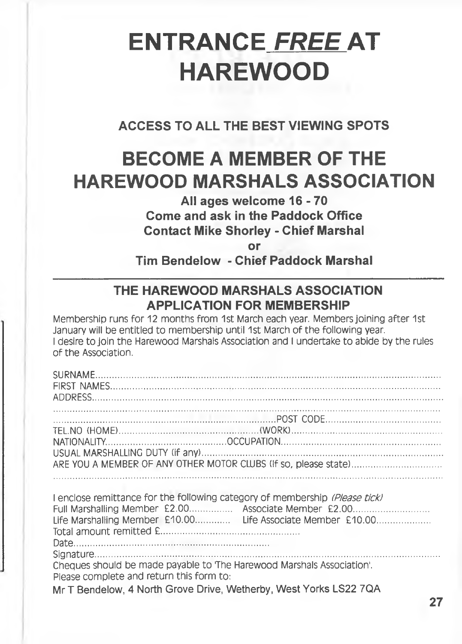# **ENTRANCE** *FREE* **AT HAREWOOD**

**ACCESS TO ALL THE BEST VIEWING SPOTS**

# **BECOME A MEMBER OF THE HAREWOOD MARSHALS ASSOCIATION**

### **All ages welcome 16-70 Come and ask in the Paddock Office Contact Mike Shorley - Chief Marshal**

**or**

**Tim Bendelow - Chief Paddock Marshal**

### **THE HAREWOOD MARSHALS ASSOCIATION APPLICATION FOR MEMBERSHIP**

Membership runs for 12 months from 1st March each year. Members joining after 1st January will be entitled to membership until 1st March of the following year. I desire to join the Harewood Marshals Association and I undertake to abide by the rules of the Association.

| Please complete and return this form to: | I enclose remittance for the following category of membership (Please tick)<br>Full Marshalling Member £2.00 Associate Member £2.00<br>Life Marshalling Member £10.00 Life Associate Member £10.00<br>Cheques should be made payable to 'The Harewood Marshals Association'. |
|------------------------------------------|------------------------------------------------------------------------------------------------------------------------------------------------------------------------------------------------------------------------------------------------------------------------------|
|                                          | Mr T Bendelow, 4 North Grove Drive, Wetherby, West Yorks LS22 7QA                                                                                                                                                                                                            |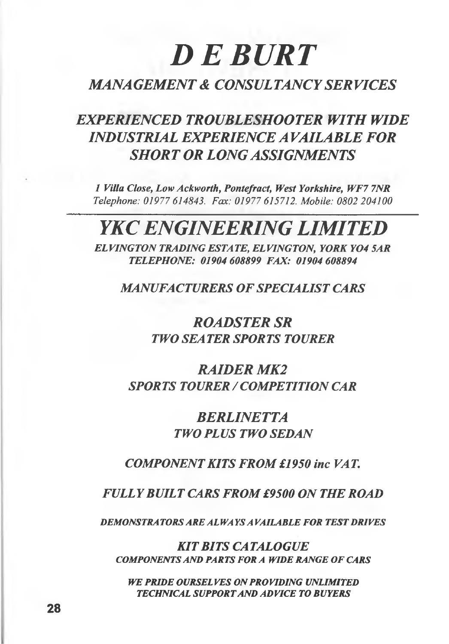# *D E B U R T*

### *MANAGEMENT & CONSULTANCY SERVICES*

# *EXPERIENCED TROUBLESHOOTER WITH WIDE INDUSTRIAL EXPERIENCE A VAILABLE FOR SHORT OR LONG ASSIGNMENTS*

*1 Villa Close, Low Ackworth, Pontefract, West Yorkshire, WF7 7NR Telephone: 01977 614843. Fax: 01977 615712. Mobile: 0802 204100*

# *YKC ENGINEERING LIMITED*

*EL VINGTON TRADING ESTA TE, EL VINGTON, YORK Y04 SAR TELEPHONE: 01904 608899 FAX: 01904 608894*

*MANUFACTURERS OF SPECIALIST CARS*

*ROADSTER SR TWO SEATER SPORTS TOURER*

*RAIDER MK2 SPORTS TOURER / COMPETITION CAR*

> *BERLINETTA TWO PLUS TWO SEDAN*

*COMPONENT KITS FROM £1950 inc VAT.*

*FULLY BUILT CARS FROM £9500 ON THE ROAD*

*DEMONSTRA TORS ARE AL WA YS A VAILABLE FOR TEST DRIVES*

*KIT BITS CATALOGUE* **COMPONENTS AND PARTS FOR A WIDE RANGE OF CARS** 

*WE PRIDE OURSELVES ON PROVIDING UNLIMITED TECHNICAL SUPPORT AND ADVICE TO BUYERS*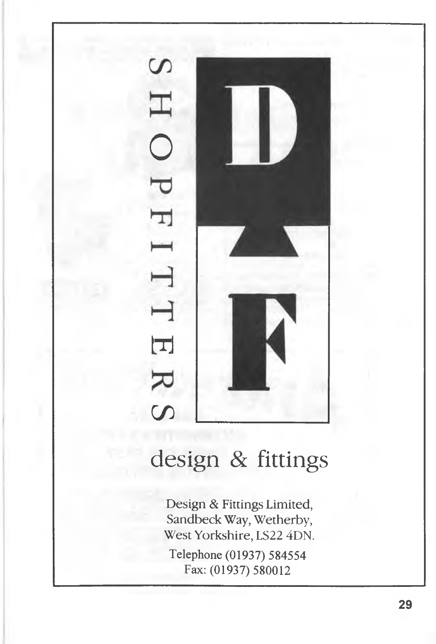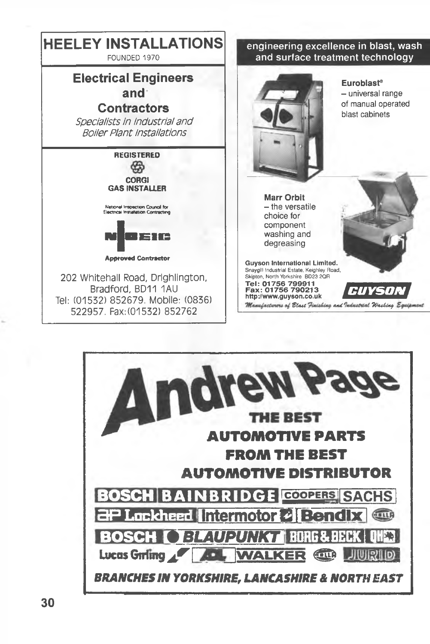

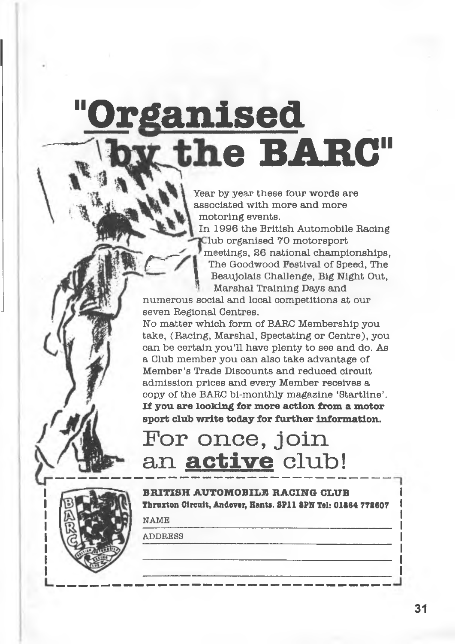# **"Organised e BARG"**

Year by year these four words are associated with more and more motoring events.

In 1996 the British Automobile Racing Hub organised 70 motorsport meetings, 26 national championships, The Goodwood Festival of Speed, The Beaujolais Challenge, Big Night Out, ® Marshal Training Days and

numerous social and local competitions at our seven Regional Centres.

No matter which form of BARC Membership you take, (Racing, Marshal, Spectating or Centre), you can be certain you'll have plenty to see and do. As a Club member you can also take advantage of Member's Trade Discounts and reduced circuit admission prices and every Member receives a copy of the BARC bi-monthly magazine 'Startllne'. If you are looking for more action from a motor sport club write today for further information.

# **For once, Join** an **active** club!

**BRITISH AUTOMOBILE RACING CLUB Thruxton Circuit, Andover, Hants. 8P11 8PN Tel: 01864 772607** 

NAME

**ADDRESS**